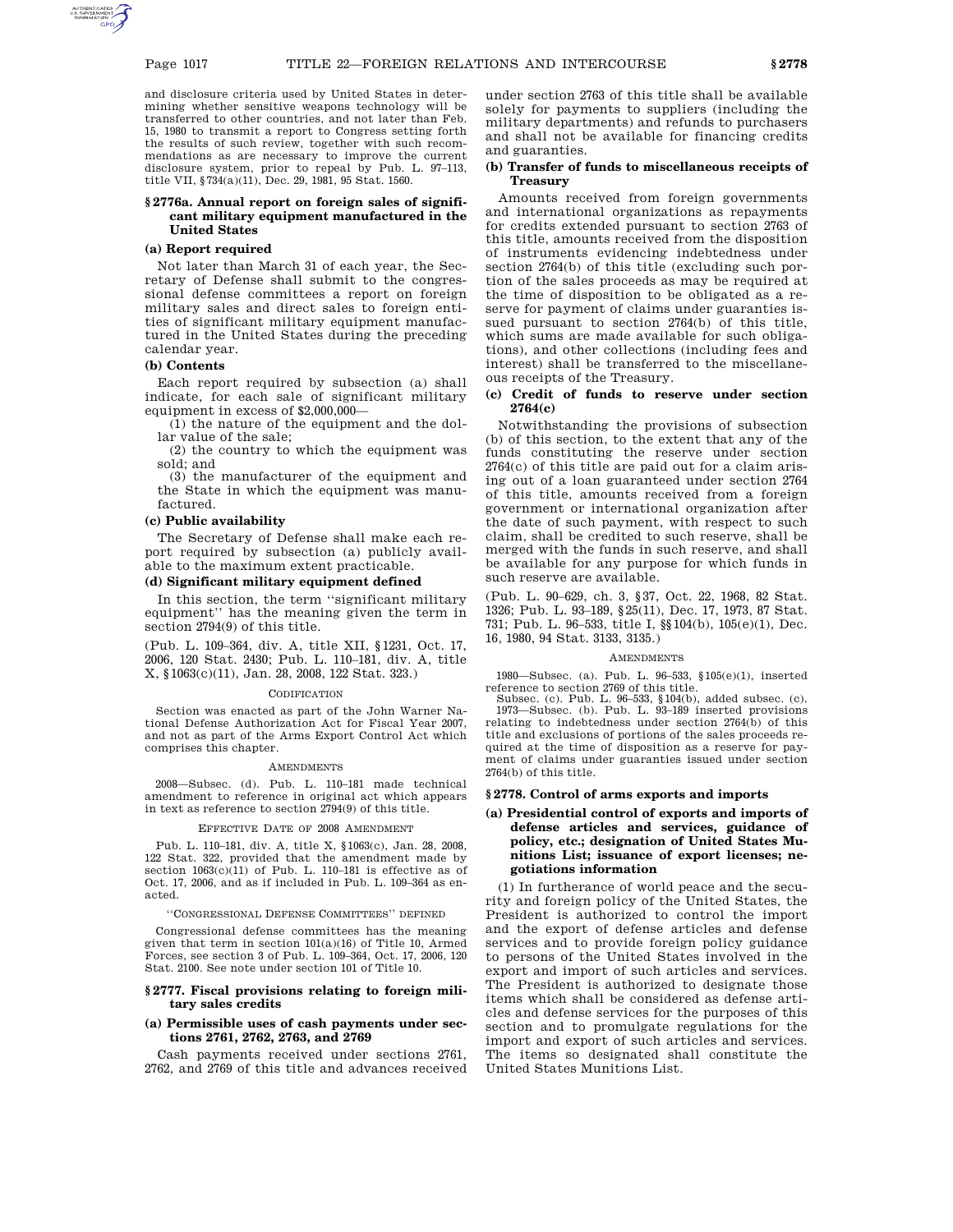and disclosure criteria used by United States in determining whether sensitive weapons technology will be transferred to other countries, and not later than Feb. 15, 1980 to transmit a report to Congress setting forth the results of such review, together with such recommendations as are necessary to improve the current disclosure system, prior to repeal by Pub. L. 97–113, title VII, §734(a)(11), Dec. 29, 1981, 95 Stat. 1560.

## **§ 2776a. Annual report on foreign sales of significant military equipment manufactured in the United States**

### **(a) Report required**

Not later than March 31 of each year, the Secretary of Defense shall submit to the congressional defense committees a report on foreign military sales and direct sales to foreign entities of significant military equipment manufactured in the United States during the preceding calendar year.

## **(b) Contents**

Each report required by subsection (a) shall indicate, for each sale of significant military equipment in excess of \$2,000,000—

(1) the nature of the equipment and the dollar value of the sale;

(2) the country to which the equipment was sold; and

(3) the manufacturer of the equipment and the State in which the equipment was manufactured.

## **(c) Public availability**

The Secretary of Defense shall make each report required by subsection (a) publicly available to the maximum extent practicable.

### **(d) Significant military equipment defined**

In this section, the term ''significant military equipment'' has the meaning given the term in section 2794(9) of this title.

(Pub. L. 109–364, div. A, title XII, §1231, Oct. 17, 2006, 120 Stat. 2430; Pub. L. 110–181, div. A, title X, §1063(c)(11), Jan. 28, 2008, 122 Stat. 323.)

#### CODIFICATION

Section was enacted as part of the John Warner National Defense Authorization Act for Fiscal Year 2007, and not as part of the Arms Export Control Act which comprises this chapter.

### **AMENDMENTS**

2008—Subsec. (d). Pub. L. 110–181 made technical amendment to reference in original act which appears in text as reference to section 2794(9) of this title.

#### EFFECTIVE DATE OF 2008 AMENDMENT

Pub. L. 110–181, div. A, title X, §1063(c), Jan. 28, 2008, 122 Stat. 322, provided that the amendment made by section  $1063(c)(11)$  of Pub. L. 110-181 is effective as of Oct. 17, 2006, and as if included in Pub. L. 109–364 as enacted.

### ''CONGRESSIONAL DEFENSE COMMITTEES'' DEFINED

Congressional defense committees has the meaning given that term in section 101(a)(16) of Title 10, Armed Forces, see section 3 of Pub. L. 109–364, Oct. 17, 2006, 120 Stat. 2100. See note under section 101 of Title 10.

### **§ 2777. Fiscal provisions relating to foreign military sales credits**

## **(a) Permissible uses of cash payments under sections 2761, 2762, 2763, and 2769**

Cash payments received under sections 2761, 2762, and 2769 of this title and advances received under section 2763 of this title shall be available solely for payments to suppliers (including the military departments) and refunds to purchasers and shall not be available for financing credits and guaranties.

### **(b) Transfer of funds to miscellaneous receipts of Treasury**

Amounts received from foreign governments and international organizations as repayments for credits extended pursuant to section 2763 of this title, amounts received from the disposition of instruments evidencing indebtedness under section 2764(b) of this title (excluding such portion of the sales proceeds as may be required at the time of disposition to be obligated as a reserve for payment of claims under guaranties issued pursuant to section 2764(b) of this title, which sums are made available for such obligations), and other collections (including fees and interest) shall be transferred to the miscellaneous receipts of the Treasury.

## **(c) Credit of funds to reserve under section 2764(c)**

Notwithstanding the provisions of subsection (b) of this section, to the extent that any of the funds constituting the reserve under section 2764(c) of this title are paid out for a claim arising out of a loan guaranteed under section 2764 of this title, amounts received from a foreign government or international organization after the date of such payment, with respect to such claim, shall be credited to such reserve, shall be merged with the funds in such reserve, and shall be available for any purpose for which funds in such reserve are available.

(Pub. L. 90–629, ch. 3, §37, Oct. 22, 1968, 82 Stat. 1326; Pub. L. 93–189, §25(11), Dec. 17, 1973, 87 Stat. 731; Pub. L. 96–533, title I, §§104(b), 105(e)(1), Dec. 16, 1980, 94 Stat. 3133, 3135.)

#### **AMENDMENTS**

1980—Subsec. (a). Pub. L. 96–533, §105(e)(1), inserted reference to section 2769 of this title.

Subsec. (c). Pub. L. 96–533, §104(b), added subsec. (c). 1973—Subsec. (b). Pub. L. 93–189 inserted provisions relating to indebtedness under section 2764(b) of this title and exclusions of portions of the sales proceeds required at the time of disposition as a reserve for payment of claims under guaranties issued under section 2764(b) of this title.

### **§ 2778. Control of arms exports and imports**

## **(a) Presidential control of exports and imports of defense articles and services, guidance of policy, etc.; designation of United States Munitions List; issuance of export licenses; negotiations information**

(1) In furtherance of world peace and the security and foreign policy of the United States, the President is authorized to control the import and the export of defense articles and defense services and to provide foreign policy guidance to persons of the United States involved in the export and import of such articles and services. The President is authorized to designate those items which shall be considered as defense articles and defense services for the purposes of this section and to promulgate regulations for the import and export of such articles and services. The items so designated shall constitute the United States Munitions List.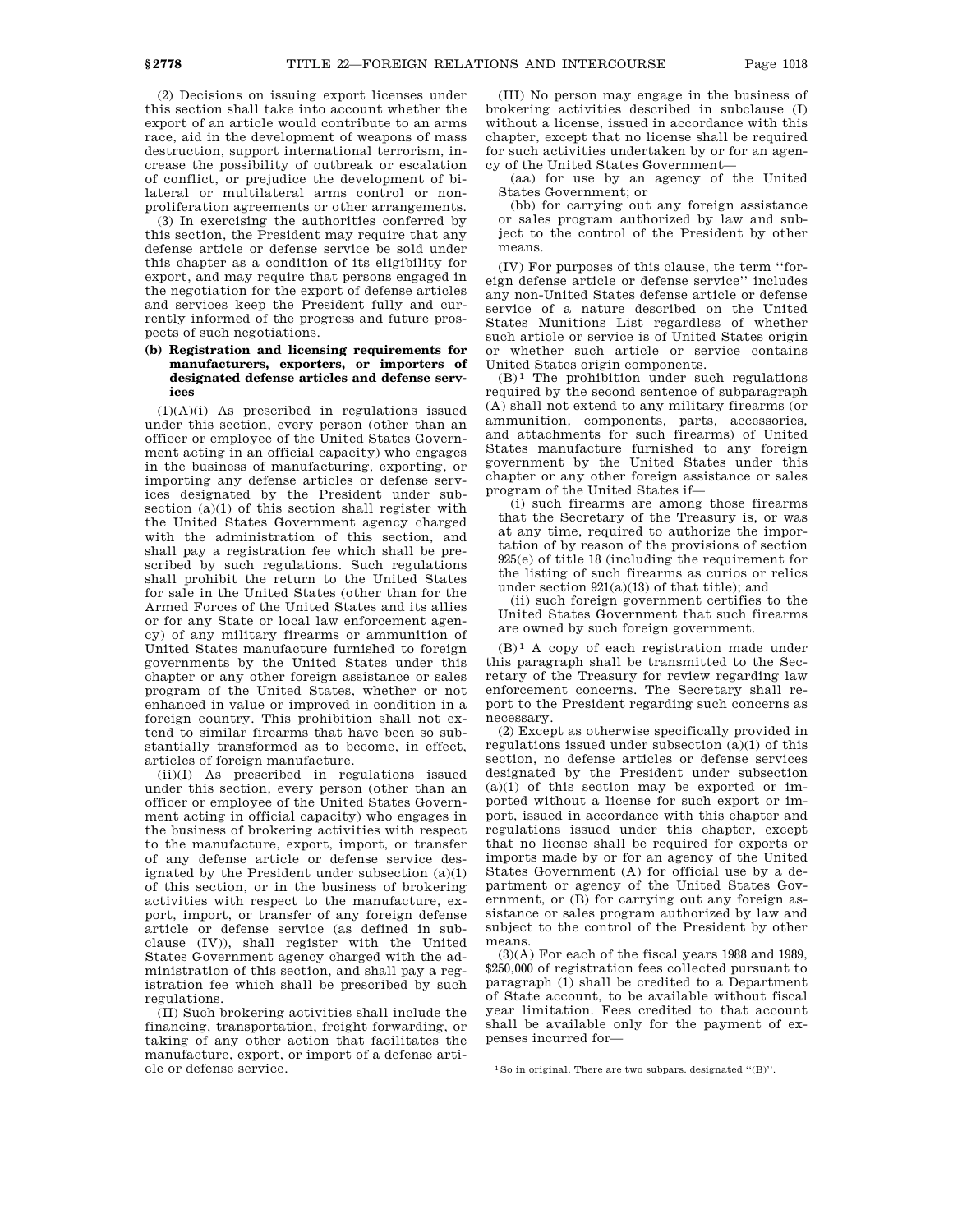(2) Decisions on issuing export licenses under this section shall take into account whether the export of an article would contribute to an arms race, aid in the development of weapons of mass destruction, support international terrorism, increase the possibility of outbreak or escalation of conflict, or prejudice the development of bilateral or multilateral arms control or nonproliferation agreements or other arrangements.

(3) In exercising the authorities conferred by this section, the President may require that any defense article or defense service be sold under this chapter as a condition of its eligibility for export, and may require that persons engaged in the negotiation for the export of defense articles and services keep the President fully and currently informed of the progress and future prospects of such negotiations.

## **(b) Registration and licensing requirements for manufacturers, exporters, or importers of designated defense articles and defense services**

 $(1)(A)(i)$  As prescribed in regulations issued under this section, every person (other than an officer or employee of the United States Government acting in an official capacity) who engages in the business of manufacturing, exporting, or importing any defense articles or defense services designated by the President under subsection (a)(1) of this section shall register with the United States Government agency charged with the administration of this section, and shall pay a registration fee which shall be prescribed by such regulations. Such regulations shall prohibit the return to the United States for sale in the United States (other than for the Armed Forces of the United States and its allies or for any State or local law enforcement agency) of any military firearms or ammunition of United States manufacture furnished to foreign governments by the United States under this chapter or any other foreign assistance or sales program of the United States, whether or not enhanced in value or improved in condition in a foreign country. This prohibition shall not extend to similar firearms that have been so substantially transformed as to become, in effect, articles of foreign manufacture.

(ii)(I) As prescribed in regulations issued under this section, every person (other than an officer or employee of the United States Government acting in official capacity) who engages in the business of brokering activities with respect to the manufacture, export, import, or transfer of any defense article or defense service designated by the President under subsection (a)(1) of this section, or in the business of brokering activities with respect to the manufacture, export, import, or transfer of any foreign defense article or defense service (as defined in subclause (IV)), shall register with the United States Government agency charged with the administration of this section, and shall pay a registration fee which shall be prescribed by such regulations.

(II) Such brokering activities shall include the financing, transportation, freight forwarding, or taking of any other action that facilitates the manufacture, export, or import of a defense article or defense service.

(III) No person may engage in the business of brokering activities described in subclause (I) without a license, issued in accordance with this chapter, except that no license shall be required for such activities undertaken by or for an agency of the United States Government—

(aa) for use by an agency of the United States Government; or

(bb) for carrying out any foreign assistance or sales program authorized by law and subject to the control of the President by other means.

(IV) For purposes of this clause, the term ''foreign defense article or defense service'' includes any non-United States defense article or defense service of a nature described on the United States Munitions List regardless of whether such article or service is of United States origin or whether such article or service contains United States origin components.

 $(B)^1$  The prohibition under such regulations required by the second sentence of subparagraph (A) shall not extend to any military firearms (or ammunition, components, parts, accessories, and attachments for such firearms) of United States manufacture furnished to any foreign government by the United States under this chapter or any other foreign assistance or sales program of the United States if—

(i) such firearms are among those firearms that the Secretary of the Treasury is, or was at any time, required to authorize the importation of by reason of the provisions of section 925(e) of title 18 (including the requirement for the listing of such firearms as curios or relics under section 921(a)(13) of that title); and

(ii) such foreign government certifies to the United States Government that such firearms are owned by such foreign government.

 $(B)^1$  A copy of each registration made under this paragraph shall be transmitted to the Secretary of the Treasury for review regarding law enforcement concerns. The Secretary shall report to the President regarding such concerns as necessary.

(2) Except as otherwise specifically provided in regulations issued under subsection  $(a)(1)$  of this section, no defense articles or defense services designated by the President under subsection (a)(1) of this section may be exported or imported without a license for such export or import, issued in accordance with this chapter and regulations issued under this chapter, except that no license shall be required for exports or imports made by or for an agency of the United States Government (A) for official use by a department or agency of the United States Government, or (B) for carrying out any foreign assistance or sales program authorized by law and subject to the control of the President by other means.

(3)(A) For each of the fiscal years 1988 and 1989, \$250,000 of registration fees collected pursuant to paragraph (1) shall be credited to a Department of State account, to be available without fiscal year limitation. Fees credited to that account shall be available only for the payment of expenses incurred for—

<sup>1</sup>So in original. There are two subpars. designated ''(B)''.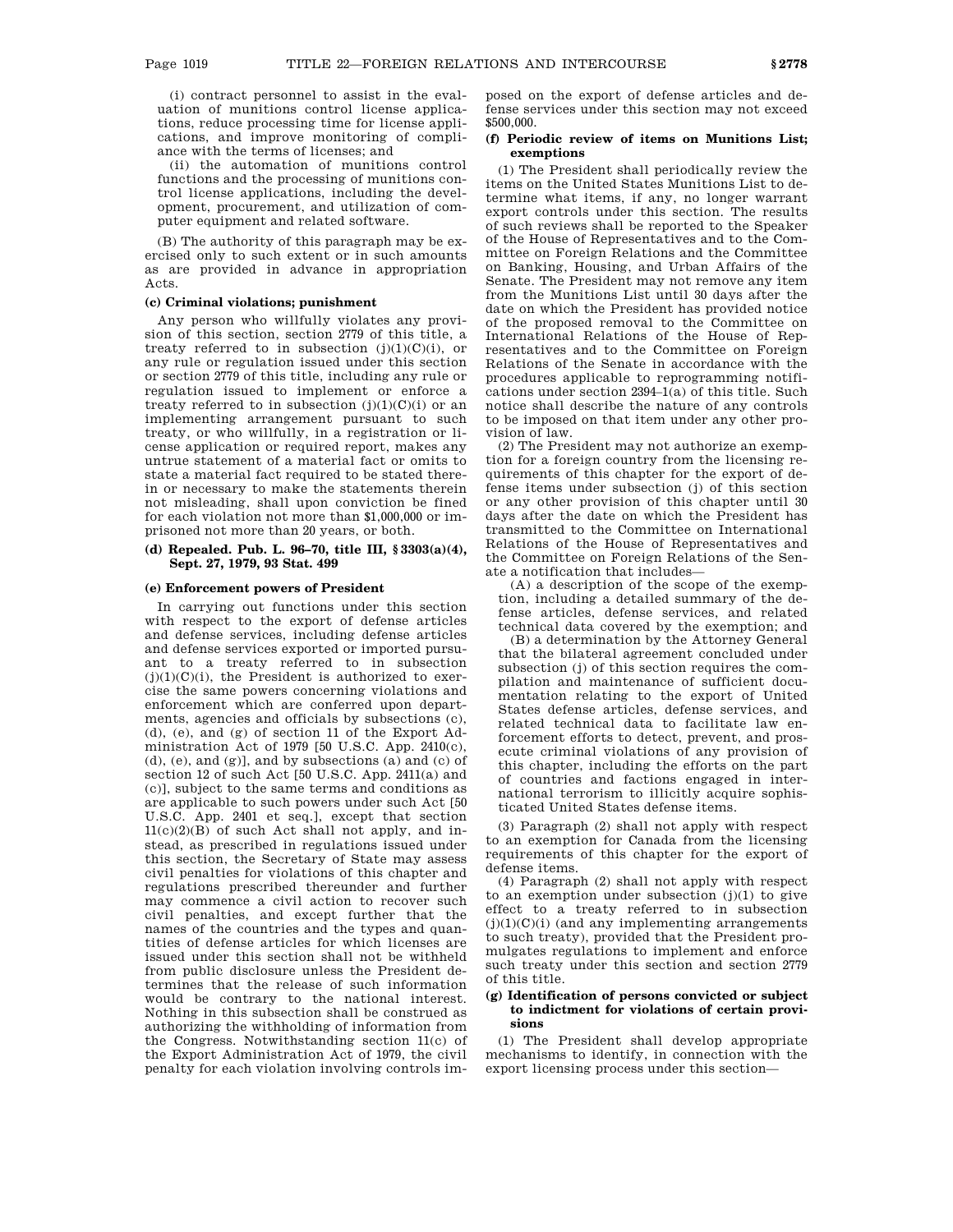(i) contract personnel to assist in the evaluation of munitions control license applications, reduce processing time for license applications, and improve monitoring of compliance with the terms of licenses; and

(ii) the automation of munitions control functions and the processing of munitions control license applications, including the development, procurement, and utilization of computer equipment and related software.

(B) The authority of this paragraph may be exercised only to such extent or in such amounts as are provided in advance in appropriation Acts.

## **(c) Criminal violations; punishment**

Any person who willfully violates any provision of this section, section 2779 of this title, a treaty referred to in subsection  $(j)(1)(C)(i)$ , or any rule or regulation issued under this section or section 2779 of this title, including any rule or regulation issued to implement or enforce a treaty referred to in subsection  $(j)(1)(C)(i)$  or an implementing arrangement pursuant to such treaty, or who willfully, in a registration or license application or required report, makes any untrue statement of a material fact or omits to state a material fact required to be stated therein or necessary to make the statements therein not misleading, shall upon conviction be fined for each violation not more than \$1,000,000 or imprisoned not more than 20 years, or both.

## **(d) Repealed. Pub. L. 96–70, title III, § 3303(a)(4), Sept. 27, 1979, 93 Stat. 499**

### **(e) Enforcement powers of President**

In carrying out functions under this section with respect to the export of defense articles and defense services, including defense articles and defense services exported or imported pursuant to a treaty referred to in subsection  $(j)(1)(C)(i)$ , the President is authorized to exercise the same powers concerning violations and enforcement which are conferred upon departments, agencies and officials by subsections (c), (d), (e), and (g) of section 11 of the Export Administration Act of 1979 [50 U.S.C. App. 2410(c),  $(d)$ ,  $(e)$ , and  $(g)$ ], and by subsections  $(a)$  and  $(c)$  of section 12 of such Act [50 U.S.C. App. 2411(a) and (c)], subject to the same terms and conditions as are applicable to such powers under such Act [50 U.S.C. App. 2401 et seq.], except that section  $11(c)(2)(B)$  of such Act shall not apply, and instead, as prescribed in regulations issued under this section, the Secretary of State may assess civil penalties for violations of this chapter and regulations prescribed thereunder and further may commence a civil action to recover such civil penalties, and except further that the names of the countries and the types and quantities of defense articles for which licenses are issued under this section shall not be withheld from public disclosure unless the President determines that the release of such information would be contrary to the national interest. Nothing in this subsection shall be construed as authorizing the withholding of information from the Congress. Notwithstanding section 11(c) of the Export Administration Act of 1979, the civil penalty for each violation involving controls imposed on the export of defense articles and defense services under this section may not exceed \$500,000.

## **(f) Periodic review of items on Munitions List; exemptions**

(1) The President shall periodically review the items on the United States Munitions List to determine what items, if any, no longer warrant export controls under this section. The results of such reviews shall be reported to the Speaker of the House of Representatives and to the Committee on Foreign Relations and the Committee on Banking, Housing, and Urban Affairs of the Senate. The President may not remove any item from the Munitions List until 30 days after the date on which the President has provided notice of the proposed removal to the Committee on International Relations of the House of Representatives and to the Committee on Foreign Relations of the Senate in accordance with the procedures applicable to reprogramming notifications under section 2394–1(a) of this title. Such notice shall describe the nature of any controls to be imposed on that item under any other provision of law.

(2) The President may not authorize an exemption for a foreign country from the licensing requirements of this chapter for the export of defense items under subsection (j) of this section or any other provision of this chapter until 30 days after the date on which the President has transmitted to the Committee on International Relations of the House of Representatives and the Committee on Foreign Relations of the Senate a notification that includes—

(A) a description of the scope of the exemption, including a detailed summary of the defense articles, defense services, and related technical data covered by the exemption; and

(B) a determination by the Attorney General that the bilateral agreement concluded under subsection (j) of this section requires the compilation and maintenance of sufficient documentation relating to the export of United States defense articles, defense services, and related technical data to facilitate law enforcement efforts to detect, prevent, and prosecute criminal violations of any provision of this chapter, including the efforts on the part of countries and factions engaged in international terrorism to illicitly acquire sophisticated United States defense items.

(3) Paragraph (2) shall not apply with respect to an exemption for Canada from the licensing requirements of this chapter for the export of defense items.

(4) Paragraph (2) shall not apply with respect to an exemption under subsection  $(j)(1)$  to give effect to a treaty referred to in subsection  $(j)(1)(C)(i)$  (and any implementing arrangements to such treaty), provided that the President promulgates regulations to implement and enforce such treaty under this section and section 2779 of this title.

### **(g) Identification of persons convicted or subject to indictment for violations of certain provisions**

(1) The President shall develop appropriate mechanisms to identify, in connection with the export licensing process under this section—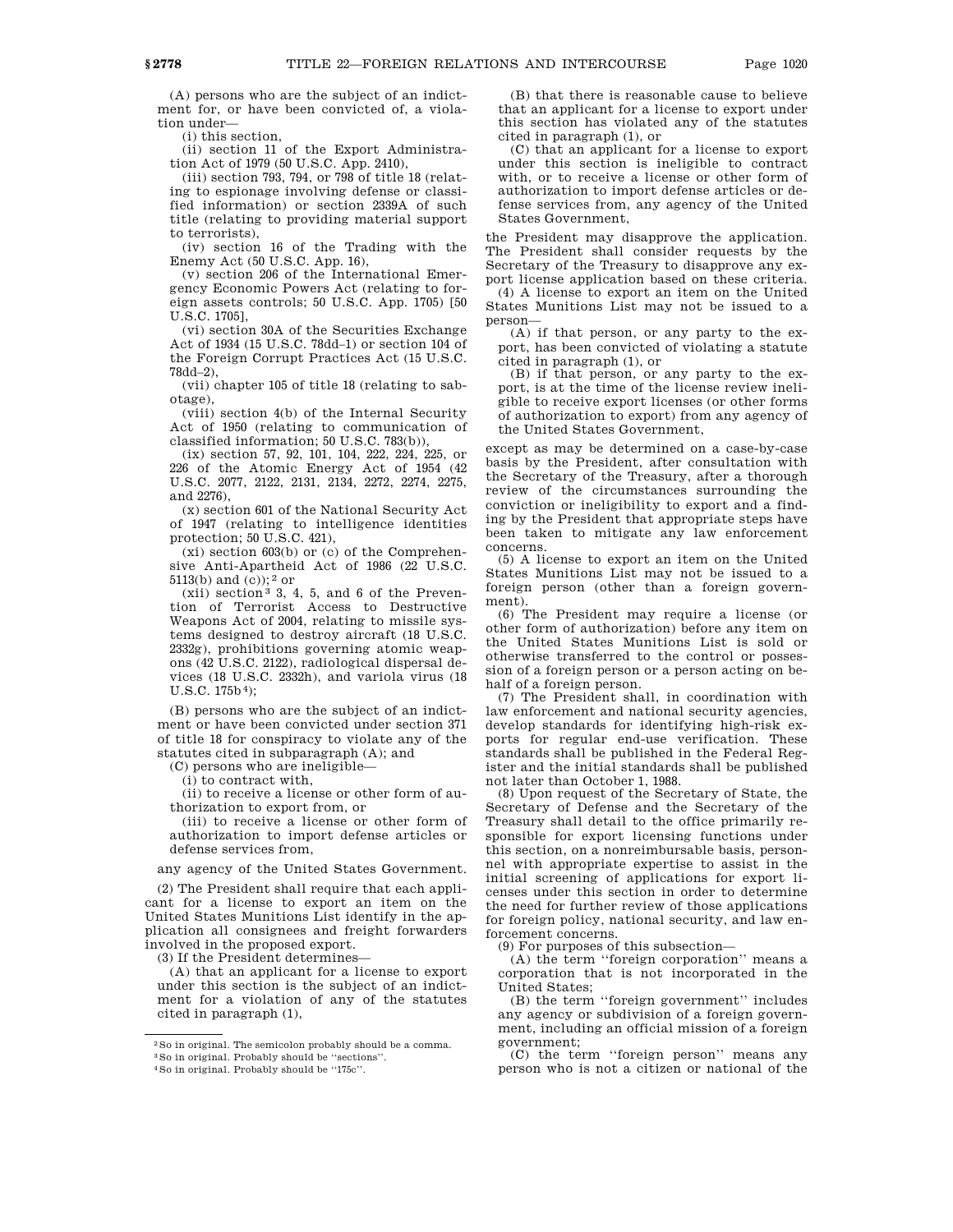(A) persons who are the subject of an indictment for, or have been convicted of, a violation under—

(i) this section,

(ii) section 11 of the Export Administration Act of 1979 (50 U.S.C. App. 2410),

(iii) section 793, 794, or 798 of title 18 (relating to espionage involving defense or classified information) or section 2339A of such title (relating to providing material support to terrorists),

(iv) section 16 of the Trading with the Enemy Act (50 U.S.C. App. 16),

(v) section 206 of the International Emergency Economic Powers Act (relating to foreign assets controls; 50 U.S.C. App. 1705) [50 U.S.C. 1705],

(vi) section 30A of the Securities Exchange Act of 1934 (15 U.S.C. 78dd–1) or section 104 of the Foreign Corrupt Practices Act (15 U.S.C. 78dd–2),

(vii) chapter 105 of title 18 (relating to sabotage),

(viii) section 4(b) of the Internal Security Act of 1950 (relating to communication of classified information; 50 U.S.C. 783(b)),

(ix) section 57, 92, 101, 104, 222, 224, 225, or 226 of the Atomic Energy Act of 1954 (42 U.S.C. 2077, 2122, 2131, 2134, 2272, 2274, 2275, and 2276),

(x) section 601 of the National Security Act of 1947 (relating to intelligence identities protection; 50 U.S.C. 421),

(xi) section 603(b) or (c) of the Comprehensive Anti-Apartheid Act of 1986 (22 U.S.C. 5113(b) and (c)); 2 or

(xii) section3 3, 4, 5, and 6 of the Prevention of Terrorist Access to Destructive Weapons Act of 2004, relating to missile systems designed to destroy aircraft (18 U.S.C. 2332g), prohibitions governing atomic weapons (42 U.S.C. 2122), radiological dispersal devices (18 U.S.C. 2332h), and variola virus (18 U.S.C. 175b 4);

(B) persons who are the subject of an indictment or have been convicted under section 371 of title 18 for conspiracy to violate any of the statutes cited in subparagraph (A); and

(C) persons who are ineligible—

(i) to contract with,

(ii) to receive a license or other form of authorization to export from, or

(iii) to receive a license or other form of authorization to import defense articles or defense services from,

any agency of the United States Government.

(2) The President shall require that each applicant for a license to export an item on the United States Munitions List identify in the application all consignees and freight forwarders involved in the proposed export.

(3) If the President determines—

(A) that an applicant for a license to export under this section is the subject of an indictment for a violation of any of the statutes cited in paragraph (1),

4So in original. Probably should be ''175c''.

(B) that there is reasonable cause to believe that an applicant for a license to export under this section has violated any of the statutes cited in paragraph (1), or

(C) that an applicant for a license to export under this section is ineligible to contract with, or to receive a license or other form of authorization to import defense articles or defense services from, any agency of the United States Government,

the President may disapprove the application. The President shall consider requests by the Secretary of the Treasury to disapprove any export license application based on these criteria.

(4) A license to export an item on the United States Munitions List may not be issued to a person—

(A) if that person, or any party to the export, has been convicted of violating a statute cited in paragraph (1), or

(B) if that person, or any party to the export, is at the time of the license review ineligible to receive export licenses (or other forms of authorization to export) from any agency of the United States Government,

except as may be determined on a case-by-case basis by the President, after consultation with the Secretary of the Treasury, after a thorough review of the circumstances surrounding the conviction or ineligibility to export and a finding by the President that appropriate steps have been taken to mitigate any law enforcement concerns.

(5) A license to export an item on the United States Munitions List may not be issued to a foreign person (other than a foreign government).

(6) The President may require a license (or other form of authorization) before any item on the United States Munitions List is sold or otherwise transferred to the control or possession of a foreign person or a person acting on behalf of a foreign person.

(7) The President shall, in coordination with law enforcement and national security agencies, develop standards for identifying high-risk exports for regular end-use verification. These standards shall be published in the Federal Register and the initial standards shall be published not later than October 1, 1988.

(8) Upon request of the Secretary of State, the Secretary of Defense and the Secretary of the Treasury shall detail to the office primarily responsible for export licensing functions under this section, on a nonreimbursable basis, personnel with appropriate expertise to assist in the initial screening of applications for export licenses under this section in order to determine the need for further review of those applications for foreign policy, national security, and law enforcement concerns.

(9) For purposes of this subsection—

(A) the term ''foreign corporation'' means a corporation that is not incorporated in the United States;

(B) the term ''foreign government'' includes any agency or subdivision of a foreign government, including an official mission of a foreign government;

(C) the term ''foreign person'' means any person who is not a citizen or national of the

 $\rm{^2}$  So in original. The semicolon probably should be a comma.

<sup>3</sup>So in original. Probably should be ''sections''.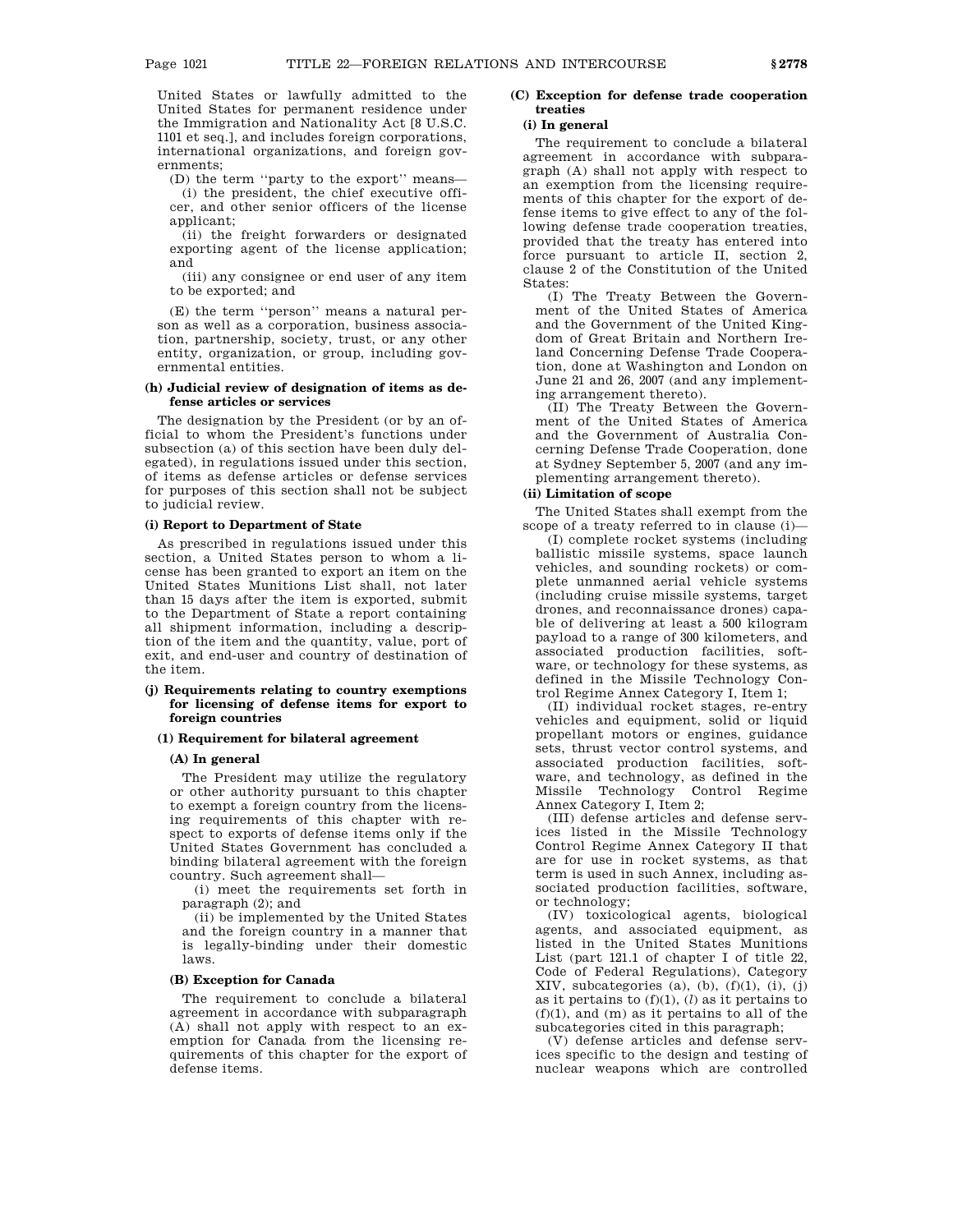United States or lawfully admitted to the United States for permanent residence under the Immigration and Nationality Act [8 U.S.C. 1101 et seq.], and includes foreign corporations, international organizations, and foreign governments;

(D) the term ''party to the export'' means—

(i) the president, the chief executive officer, and other senior officers of the license applicant:

(ii) the freight forwarders or designated exporting agent of the license application; and

(iii) any consignee or end user of any item to be exported; and

(E) the term ''person'' means a natural person as well as a corporation, business association, partnership, society, trust, or any other entity, organization, or group, including governmental entities.

## **(h) Judicial review of designation of items as defense articles or services**

The designation by the President (or by an official to whom the President's functions under subsection (a) of this section have been duly delegated), in regulations issued under this section, of items as defense articles or defense services for purposes of this section shall not be subject to judicial review.

### **(i) Report to Department of State**

As prescribed in regulations issued under this section, a United States person to whom a license has been granted to export an item on the United States Munitions List shall, not later than 15 days after the item is exported, submit to the Department of State a report containing all shipment information, including a description of the item and the quantity, value, port of exit, and end-user and country of destination of the item.

## **(j) Requirements relating to country exemptions for licensing of defense items for export to foreign countries**

## **(1) Requirement for bilateral agreement**

## **(A) In general**

The President may utilize the regulatory or other authority pursuant to this chapter to exempt a foreign country from the licensing requirements of this chapter with respect to exports of defense items only if the United States Government has concluded a binding bilateral agreement with the foreign country. Such agreement shall—

(i) meet the requirements set forth in paragraph (2); and

(ii) be implemented by the United States and the foreign country in a manner that is legally-binding under their domestic laws.

## **(B) Exception for Canada**

The requirement to conclude a bilateral agreement in accordance with subparagraph (A) shall not apply with respect to an exemption for Canada from the licensing requirements of this chapter for the export of defense items.

## **(C) Exception for defense trade cooperation treaties**

## **(i) In general**

The requirement to conclude a bilateral agreement in accordance with subparagraph (A) shall not apply with respect to an exemption from the licensing requirements of this chapter for the export of defense items to give effect to any of the following defense trade cooperation treaties, provided that the treaty has entered into force pursuant to article II, section 2, clause 2 of the Constitution of the United States:

(I) The Treaty Between the Government of the United States of America and the Government of the United Kingdom of Great Britain and Northern Ireland Concerning Defense Trade Cooperation, done at Washington and London on June 21 and 26, 2007 (and any implementing arrangement thereto).

(II) The Treaty Between the Government of the United States of America and the Government of Australia Concerning Defense Trade Cooperation, done at Sydney September 5, 2007 (and any implementing arrangement thereto).

## **(ii) Limitation of scope**

The United States shall exempt from the scope of a treaty referred to in clause (i)—

(I) complete rocket systems (including ballistic missile systems, space launch vehicles, and sounding rockets) or complete unmanned aerial vehicle systems (including cruise missile systems, target drones, and reconnaissance drones) capable of delivering at least a 500 kilogram payload to a range of 300 kilometers, and associated production facilities, software, or technology for these systems, as defined in the Missile Technology Control Regime Annex Category I, Item 1;

(II) individual rocket stages, re-entry vehicles and equipment, solid or liquid propellant motors or engines, guidance sets, thrust vector control systems, and associated production facilities, software, and technology, as defined in the Missile Technology Control Regime Annex Category I, Item 2;

(III) defense articles and defense services listed in the Missile Technology Control Regime Annex Category II that are for use in rocket systems, as that term is used in such Annex, including associated production facilities, software, or technology;

(IV) toxicological agents, biological agents, and associated equipment, as listed in the United States Munitions List (part 121.1 of chapter I of title 22, Code of Federal Regulations), Category XIV, subcategories  $(a)$ ,  $(b)$ ,  $(f)(1)$ ,  $(i)$ ,  $(j)$ as it pertains to  $(f)(1)$ ,  $(l)$  as it pertains to  $(f)(1)$ , and  $(m)$  as it pertains to all of the subcategories cited in this paragraph;

(V) defense articles and defense services specific to the design and testing of nuclear weapons which are controlled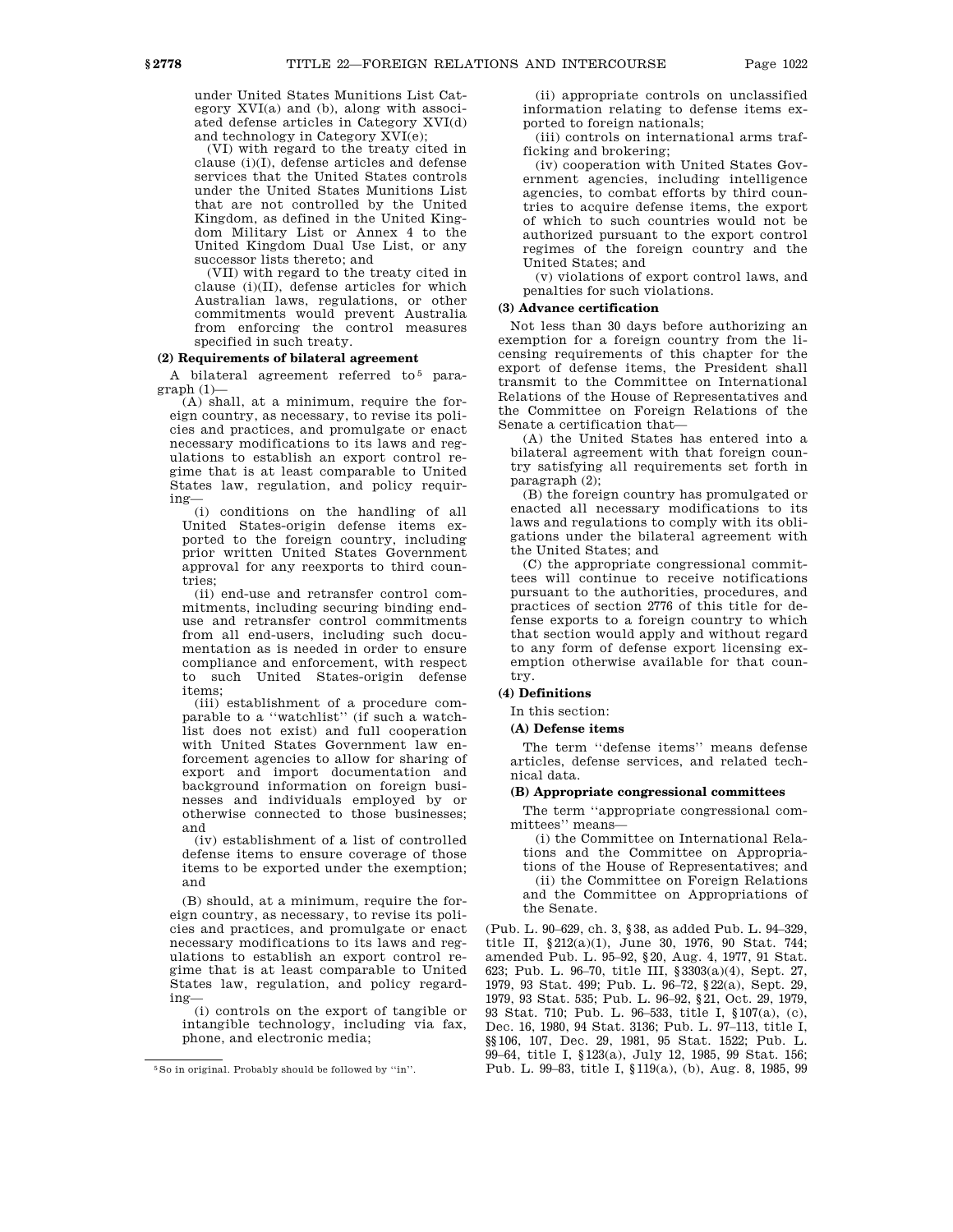under United States Munitions List Category XVI(a) and (b), along with associated defense articles in Category XVI(d) and technology in Category XVI(e);

(VI) with regard to the treaty cited in clause (i)(I), defense articles and defense services that the United States controls under the United States Munitions List that are not controlled by the United Kingdom, as defined in the United Kingdom Military List or Annex 4 to the United Kingdom Dual Use List, or any successor lists thereto; and

(VII) with regard to the treaty cited in clause  $(i)(II)$ , defense articles for which Australian laws, regulations, or other commitments would prevent Australia from enforcing the control measures specified in such treaty.

### **(2) Requirements of bilateral agreement**

A bilateral agreement referred to<sup>5</sup> paragraph (1)—

(A) shall, at a minimum, require the foreign country, as necessary, to revise its policies and practices, and promulgate or enact necessary modifications to its laws and regulations to establish an export control regime that is at least comparable to United States law, regulation, and policy requiring—

(i) conditions on the handling of all United States-origin defense items exported to the foreign country, including prior written United States Government approval for any reexports to third countries;

(ii) end-use and retransfer control commitments, including securing binding enduse and retransfer control commitments from all end-users, including such documentation as is needed in order to ensure compliance and enforcement, with respect to such United States-origin defense items;

(iii) establishment of a procedure comparable to a ''watchlist'' (if such a watchlist does not exist) and full cooperation with United States Government law enforcement agencies to allow for sharing of export and import documentation and background information on foreign businesses and individuals employed by or otherwise connected to those businesses; and

(iv) establishment of a list of controlled defense items to ensure coverage of those items to be exported under the exemption; and

(B) should, at a minimum, require the foreign country, as necessary, to revise its policies and practices, and promulgate or enact necessary modifications to its laws and regulations to establish an export control regime that is at least comparable to United States law, regulation, and policy regarding—

(i) controls on the export of tangible or intangible technology, including via fax, phone, and electronic media;

(ii) appropriate controls on unclassified information relating to defense items exported to foreign nationals;

(iii) controls on international arms trafficking and brokering;

(iv) cooperation with United States Government agencies, including intelligence agencies, to combat efforts by third countries to acquire defense items, the export of which to such countries would not be authorized pursuant to the export control regimes of the foreign country and the United States; and

(v) violations of export control laws, and penalties for such violations.

## **(3) Advance certification**

Not less than 30 days before authorizing an exemption for a foreign country from the licensing requirements of this chapter for the export of defense items, the President shall transmit to the Committee on International Relations of the House of Representatives and the Committee on Foreign Relations of the Senate a certification that—

(A) the United States has entered into a bilateral agreement with that foreign country satisfying all requirements set forth in paragraph (2);

(B) the foreign country has promulgated or enacted all necessary modifications to its laws and regulations to comply with its obligations under the bilateral agreement with the United States; and

(C) the appropriate congressional committees will continue to receive notifications pursuant to the authorities, procedures, and practices of section 2776 of this title for defense exports to a foreign country to which that section would apply and without regard to any form of defense export licensing exemption otherwise available for that country.

## **(4) Definitions**

In this section:

### **(A) Defense items**

The term ''defense items'' means defense articles, defense services, and related technical data.

## **(B) Appropriate congressional committees**

The term ''appropriate congressional committees'' means—

(i) the Committee on International Relations and the Committee on Appropriations of the House of Representatives; and (ii) the Committee on Foreign Relations

and the Committee on Appropriations of the Senate.

(Pub. L. 90–629, ch. 3, §38, as added Pub. L. 94–329, title II, §212(a)(1), June 30, 1976, 90 Stat. 744; amended Pub. L. 95–92, §20, Aug. 4, 1977, 91 Stat. 623; Pub. L. 96–70, title III, §3303(a)(4), Sept. 27, 1979, 93 Stat. 499; Pub. L. 96–72, §22(a), Sept. 29, 1979, 93 Stat. 535; Pub. L. 96–92, §21, Oct. 29, 1979, 93 Stat. 710; Pub. L. 96–533, title I, §107(a), (c), Dec. 16, 1980, 94 Stat. 3136; Pub. L. 97–113, title I, §§106, 107, Dec. 29, 1981, 95 Stat. 1522; Pub. L. 99–64, title I, §123(a), July 12, 1985, 99 Stat. 156; Pub. L. 99–83, title I, §119(a), (b), Aug. 8, 1985, 99

<sup>5</sup>So in original. Probably should be followed by ''in''.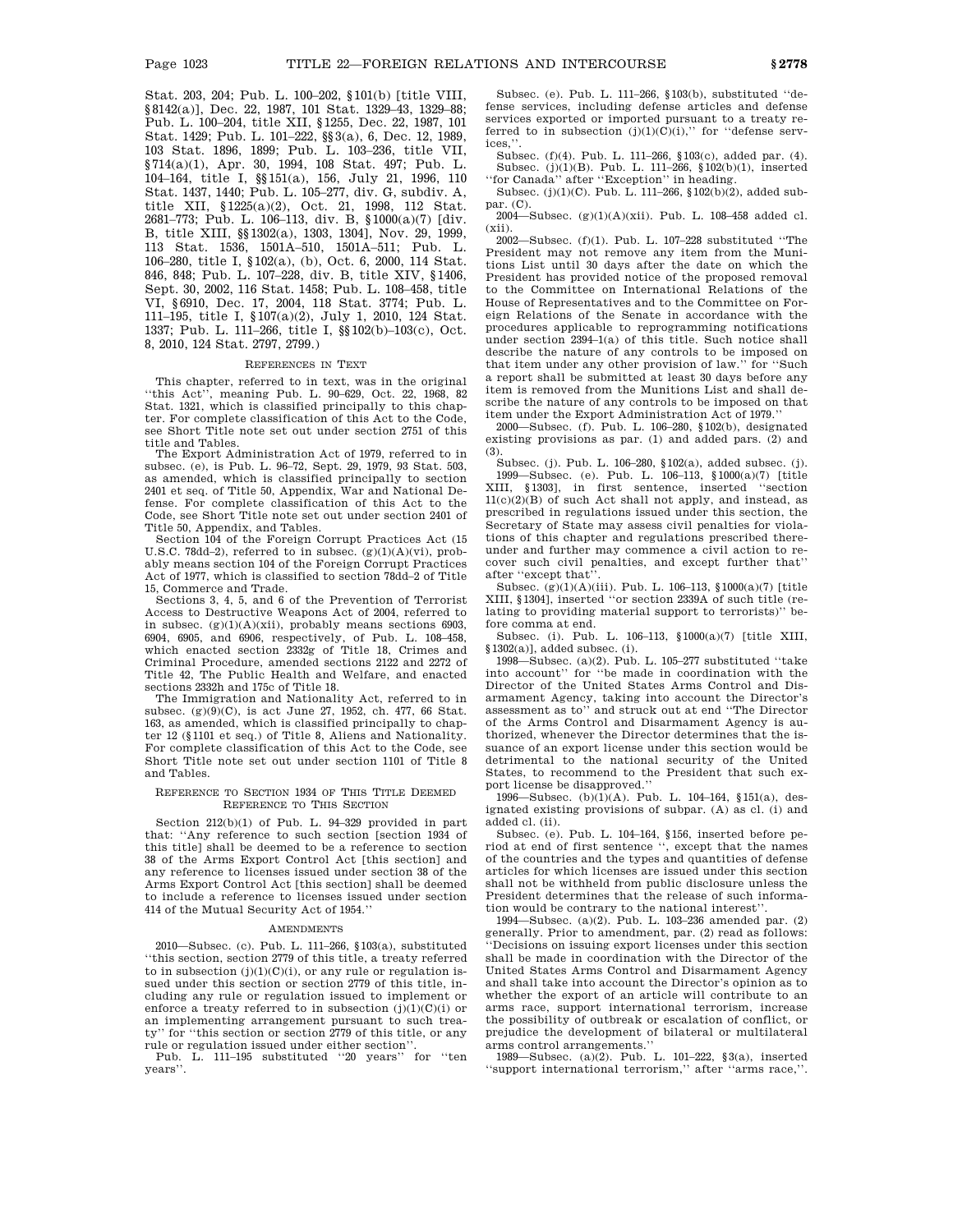Stat. 203, 204; Pub. L. 100–202, §101(b) [title VIII, §8142(a)], Dec. 22, 1987, 101 Stat. 1329–43, 1329–88; Pub. L. 100–204, title XII, §1255, Dec. 22, 1987, 101 Stat. 1429; Pub. L. 101–222, §§3(a), 6, Dec. 12, 1989, 103 Stat. 1896, 1899; Pub. L. 103–236, title VII, §714(a)(1), Apr. 30, 1994, 108 Stat. 497; Pub. L. 104–164, title I, §§151(a), 156, July 21, 1996, 110 Stat. 1437, 1440; Pub. L. 105–277, div. G, subdiv. A, title XII, §1225(a)(2), Oct. 21, 1998, 112 Stat. 2681–773; Pub. L. 106–113, div. B, §1000(a)(7) [div. B, title XIII, §§1302(a), 1303, 1304], Nov. 29, 1999, 113 Stat. 1536, 1501A–510, 1501A–511; Pub. L. 106–280, title I, §102(a), (b), Oct. 6, 2000, 114 Stat. 846, 848; Pub. L. 107–228, div. B, title XIV, §1406, Sept. 30, 2002, 116 Stat. 1458; Pub. L. 108–458, title VI, §6910, Dec. 17, 2004, 118 Stat. 3774; Pub. L. 111–195, title I, §107(a)(2), July 1, 2010, 124 Stat. 1337; Pub. L. 111–266, title I, §§102(b)–103(c), Oct. 8, 2010, 124 Stat. 2797, 2799.)

#### REFERENCES IN TEXT

This chapter, referred to in text, was in the original ''this Act'', meaning Pub. L. 90–629, Oct. 22, 1968, 82 Stat. 1321, which is classified principally to this chapter. For complete classification of this Act to the Code, see Short Title note set out under section 2751 of this title and Tables.

The Export Administration Act of 1979, referred to in subsec. (e), is Pub. L. 96–72, Sept. 29, 1979, 93 Stat. 503, as amended, which is classified principally to section 2401 et seq. of Title 50, Appendix, War and National Defense. For complete classification of this Act to the Code, see Short Title note set out under section 2401 of Title 50, Appendix, and Tables.

Section 104 of the Foreign Corrupt Practices Act (15 U.S.C. 78dd-2), referred to in subsec.  $(g)(1)(A)(vi)$ , probably means section 104 of the Foreign Corrupt Practices Act of 1977, which is classified to section 78dd–2 of Title 15, Commerce and Trade.

Sections 3, 4, 5, and 6 of the Prevention of Terrorist Access to Destructive Weapons Act of 2004, referred to in subsec.  $(g)(1)(A)(xii)$ , probably means sections 6903, 6904, 6905, and 6906, respectively, of Pub. L. 108–458, which enacted section 2332g of Title 18, Crimes and Criminal Procedure, amended sections 2122 and 2272 of Title 42, The Public Health and Welfare, and enacted sections 2332h and 175c of Title 18.

The Immigration and Nationality Act, referred to in subsec. (g)(9)(C), is act June 27, 1952, ch. 477, 66 Stat. 163, as amended, which is classified principally to chapter 12 (§1101 et seq.) of Title 8, Aliens and Nationality. For complete classification of this Act to the Code, see Short Title note set out under section 1101 of Title 8 and Tables.

### REFERENCE TO SECTION 1934 OF THIS TITLE DEEMED REFERENCE TO THIS SECTION

Section 212(b)(1) of Pub. L. 94–329 provided in part that: ''Any reference to such section [section 1934 of this title] shall be deemed to be a reference to section 38 of the Arms Export Control Act [this section] and any reference to licenses issued under section 38 of the Arms Export Control Act [this section] shall be deemed to include a reference to licenses issued under section 414 of the Mutual Security Act of 1954.''

#### AMENDMENTS

2010—Subsec. (c). Pub. L. 111–266, §103(a), substituted ''this section, section 2779 of this title, a treaty referred to in subsection  $(j)(1)(C)(i)$ , or any rule or regulation issued under this section or section 2779 of this title, including any rule or regulation issued to implement or enforce a treaty referred to in subsection  $(j)(1)(C)(i)$  or an implementing arrangement pursuant to such treaty'' for ''this section or section 2779 of this title, or any

rule or regulation issued under either section''. Pub. L. 111–195 substituted ''20 years'' for ''ten years''.

Subsec. (e). Pub. L. 111–266, §103(b), substituted ''defense services, including defense articles and defense services exported or imported pursuant to a treaty referred to in subsection  $(j)(1)(C)(i)$ ," for "defense services,''.

Subsec. (f)(4). Pub. L. 111–266, §103(c), added par. (4). Subsec. (j)(1)(B). Pub. L. 111–266, §102(b)(1), inserted ''for Canada'' after ''Exception'' in heading.

Subsec. (j)(1)(C). Pub. L. 111–266, §102(b)(2), added subpar. (C).

2004—Subsec. (g)(1)(A)(xii). Pub. L. 108–458 added cl. (xii).

2002—Subsec. (f)(1). Pub. L. 107–228 substituted ''The President may not remove any item from the Munitions List until 30 days after the date on which the President has provided notice of the proposed removal to the Committee on International Relations of the House of Representatives and to the Committee on Foreign Relations of the Senate in accordance with the procedures applicable to reprogramming notifications under section 2394–1(a) of this title. Such notice shall describe the nature of any controls to be imposed on that item under any other provision of law.'' for ''Such a report shall be submitted at least 30 days before any item is removed from the Munitions List and shall describe the nature of any controls to be imposed on that item under the Export Administration Act of 1979.''

2000—Subsec. (f). Pub. L. 106–280, §102(b), designated existing provisions as par. (1) and added pars. (2) and (3).

Subsec. (j). Pub. L. 106–280, §102(a), added subsec. (j). 1999—Subsec. (e). Pub. L. 106–113, §1000(a)(7) [title XIII, §1303], in first sentence, inserted ''section 11(c)(2)(B) of such Act shall not apply, and instead, as prescribed in regulations issued under this section, the Secretary of State may assess civil penalties for violations of this chapter and regulations prescribed thereunder and further may commence a civil action to recover such civil penalties, and except further that'' after "except that"

Subsec. (g)(1)(A)(iii). Pub. L. 106–113, §1000(a)(7) [title XIII, §1304], inserted ''or section 2339A of such title (relating to providing material support to terrorists)'' before comma at end.

Subsec. (i). Pub. L. 106–113, §1000(a)(7) [title XIII, §1302(a)], added subsec. (i).

1998—Subsec. (a)(2). Pub. L. 105–277 substituted ''take into account'' for ''be made in coordination with the Director of the United States Arms Control and Disarmament Agency, taking into account the Director's assessment as to'' and struck out at end ''The Director of the Arms Control and Disarmament Agency is authorized, whenever the Director determines that the issuance of an export license under this section would be detrimental to the national security of the United States, to recommend to the President that such export license be disapproved.''

1996—Subsec. (b)(1)(A). Pub. L. 104–164, §151(a), designated existing provisions of subpar. (A) as cl. (i) and added cl. (ii).

Subsec. (e). Pub. L. 104–164, §156, inserted before period at end of first sentence '', except that the names of the countries and the types and quantities of defense articles for which licenses are issued under this section shall not be withheld from public disclosure unless the President determines that the release of such information would be contrary to the national interest''.

1994—Subsec. (a)(2). Pub. L. 103–236 amended par. (2) generally. Prior to amendment, par. (2) read as follows: ''Decisions on issuing export licenses under this section shall be made in coordination with the Director of the United States Arms Control and Disarmament Agency and shall take into account the Director's opinion as to whether the export of an article will contribute to an arms race, support international terrorism, increase the possibility of outbreak or escalation of conflict, or prejudice the development of bilateral or multilateral arms control arrangements.''

1989—Subsec. (a)(2). Pub. L. 101–222, §3(a), inserted ''support international terrorism,'' after ''arms race,''.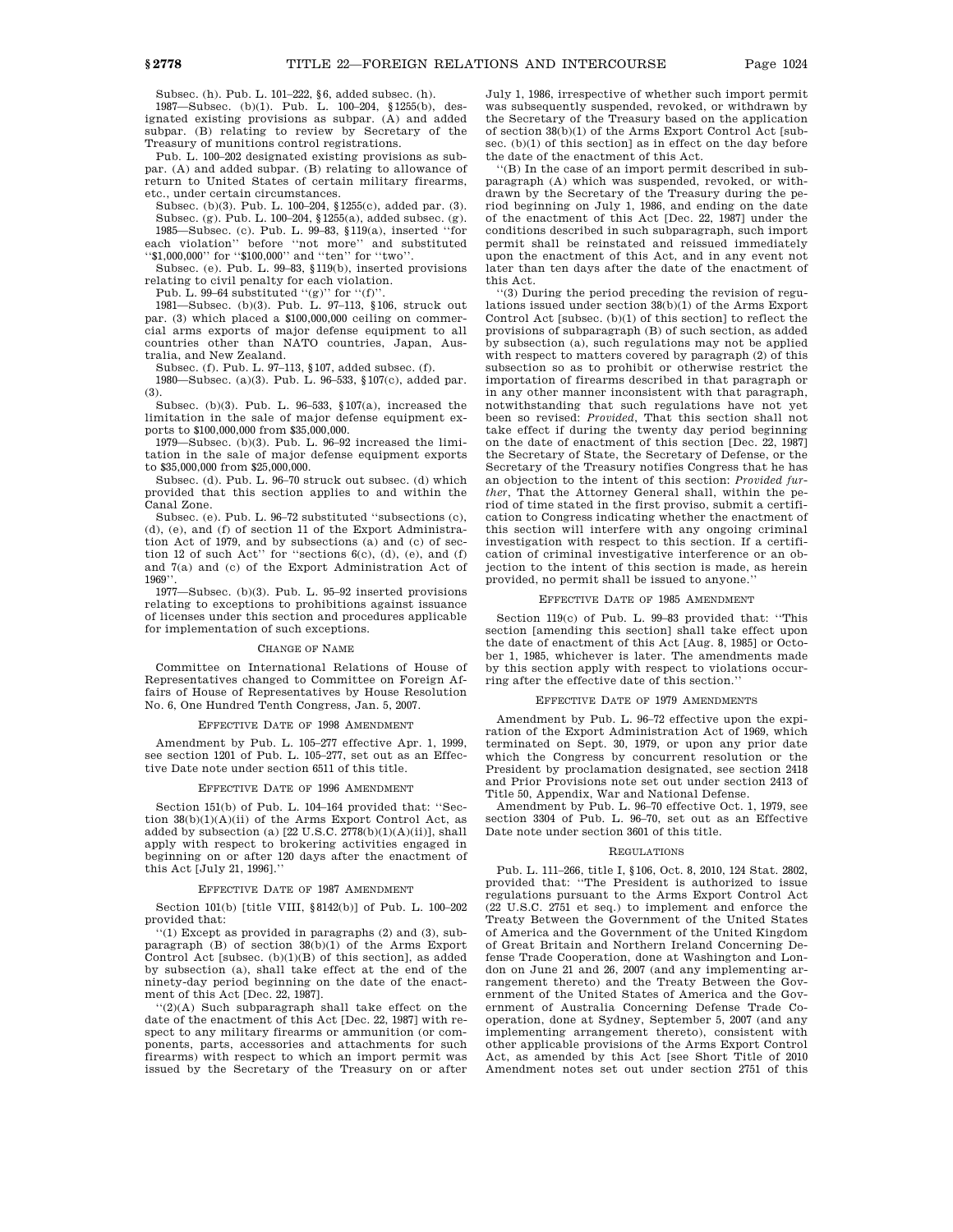Subsec. (h). Pub. L. 101–222, §6, added subsec. (h).

1987—Subsec. (b)(1). Pub. L. 100–204, §1255(b), designated existing provisions as subpar. (A) and added subpar. (B) relating to review by Secretary of the Treasury of munitions control registrations.

Pub. L. 100–202 designated existing provisions as subpar. (A) and added subpar. (B) relating to allowance of return to United States of certain military firearms, etc., under certain circumstances.

Subsec. (b)(3). Pub. L. 100–204, §1255(c), added par. (3). Subsec. (g). Pub. L. 100–204, §1255(a), added subsec. (g).

1985—Subsec. (c). Pub. L. 99–83, §119(a), inserted ''for each violation'' before ''not more'' and substituted '\$1,000,000'' for ''\$100,000'' and ''ten'' for ''two''

Subsec. (e). Pub. L. 99–83, §119(b), inserted provisions relating to civil penalty for each violation.

Pub. L. 99–64 substituted " $(g)$ " for " $(f)$ "

1981—Subsec. (b)(3). Pub. L. 97–113, §106, struck out par. (3) which placed a \$100,000,000 ceiling on commercial arms exports of major defense equipment to all countries other than NATO countries, Japan, Australia, and New Zealand.

Subsec. (f). Pub. L. 97–113, §107, added subsec. (f).

1980—Subsec. (a)(3). Pub. L. 96–533, §107(c), added par. (3).

Subsec. (b)(3). Pub. L. 96–533, §107(a), increased the limitation in the sale of major defense equipment exports to \$100,000,000 from \$35,000,000.

1979—Subsec. (b)(3). Pub. L. 96–92 increased the limitation in the sale of major defense equipment exports to \$35,000,000 from \$25,000,000.

Subsec. (d). Pub. L. 96–70 struck out subsec. (d) which provided that this section applies to and within the Canal Zone.

Subsec. (e). Pub. L. 96–72 substituted ''subsections (c), (d), (e), and (f) of section 11 of the Export Administration Act of 1979, and by subsections (a) and (c) of section 12 of such Act" for "sections  $6(c)$ ,  $(d)$ ,  $(e)$ , and  $(f)$ and 7(a) and (c) of the Export Administration Act of 1969''.

1977—Subsec. (b)(3). Pub. L. 95–92 inserted provisions relating to exceptions to prohibitions against issuance of licenses under this section and procedures applicable for implementation of such exceptions.

#### CHANGE OF NAME

Committee on International Relations of House of Representatives changed to Committee on Foreign Affairs of House of Representatives by House Resolution No. 6, One Hundred Tenth Congress, Jan. 5, 2007.

#### EFFECTIVE DATE OF 1998 AMENDMENT

Amendment by Pub. L. 105–277 effective Apr. 1, 1999, see section 1201 of Pub. L. 105–277, set out as an Effective Date note under section 6511 of this title.

#### EFFECTIVE DATE OF 1996 AMENDMENT

Section 151(b) of Pub. L. 104–164 provided that: ''Section 38(b)(1)(A)(ii) of the Arms Export Control Act, as added by subsection (a)  $[22 \text{ U.S.C. } 2778 \text{ (b)}(1)(\text{A})(\text{ii})]$ , shall apply with respect to brokering activities engaged in beginning on or after 120 days after the enactment of this Act [July 21, 1996].''

#### EFFECTIVE DATE OF 1987 AMENDMENT

Section 101(b) [title VIII, §8142(b)] of Pub. L. 100–202 provided that:

''(1) Except as provided in paragraphs (2) and (3), subparagraph (B) of section 38(b)(1) of the Arms Export Control Act [subsec.  $(b)(1)(B)$  of this section], as added by subsection (a), shall take effect at the end of the ninety-day period beginning on the date of the enactment of this Act [Dec. 22, 1987].

''(2)(A) Such subparagraph shall take effect on the date of the enactment of this Act [Dec. 22, 1987] with respect to any military firearms or ammunition (or components, parts, accessories and attachments for such firearms) with respect to which an import permit was issued by the Secretary of the Treasury on or after July 1, 1986, irrespective of whether such import permit was subsequently suspended, revoked, or withdrawn by the Secretary of the Treasury based on the application of section 38(b)(1) of the Arms Export Control Act [subsec. (b)(1) of this section] as in effect on the day before the date of the enactment of this Act.

''(B) In the case of an import permit described in subparagraph (A) which was suspended, revoked, or withdrawn by the Secretary of the Treasury during the period beginning on July 1, 1986, and ending on the date of the enactment of this Act [Dec. 22, 1987] under the conditions described in such subparagraph, such import permit shall be reinstated and reissued immediately upon the enactment of this Act, and in any event not later than ten days after the date of the enactment of this Act.

''(3) During the period preceding the revision of regulations issued under section 38(b)(1) of the Arms Export Control Act [subsec. (b)(1) of this section] to reflect the provisions of subparagraph (B) of such section, as added by subsection (a), such regulations may not be applied with respect to matters covered by paragraph (2) of this subsection so as to prohibit or otherwise restrict the importation of firearms described in that paragraph or in any other manner inconsistent with that paragraph, notwithstanding that such regulations have not yet been so revised: *Provided*, That this section shall not take effect if during the twenty day period beginning on the date of enactment of this section [Dec. 22, 1987] the Secretary of State, the Secretary of Defense, or the Secretary of the Treasury notifies Congress that he has an objection to the intent of this section: *Provided further*, That the Attorney General shall, within the period of time stated in the first proviso, submit a certification to Congress indicating whether the enactment of this section will interfere with any ongoing criminal investigation with respect to this section. If a certification of criminal investigative interference or an objection to the intent of this section is made, as herein provided, no permit shall be issued to anyone.''

#### EFFECTIVE DATE OF 1985 AMENDMENT

Section 119(c) of Pub. L. 99–83 provided that: ''This section [amending this section] shall take effect upon the date of enactment of this Act [Aug. 8, 1985] or October 1, 1985, whichever is later. The amendments made by this section apply with respect to violations occurring after the effective date of this section.''

### EFFECTIVE DATE OF 1979 AMENDMENTS

Amendment by Pub. L. 96–72 effective upon the expiration of the Export Administration Act of 1969, which terminated on Sept. 30, 1979, or upon any prior date which the Congress by concurrent resolution or the President by proclamation designated, see section 2418 and Prior Provisions note set out under section 2413 of Title 50, Appendix, War and National Defense.

Amendment by Pub. L. 96–70 effective Oct. 1, 1979, see section 3304 of Pub. L. 96–70, set out as an Effective Date note under section 3601 of this title.

#### REGULATIONS

Pub. L. 111–266, title I, §106, Oct. 8, 2010, 124 Stat. 2802, provided that: ''The President is authorized to issue regulations pursuant to the Arms Export Control Act (22 U.S.C. 2751 et seq.) to implement and enforce the Treaty Between the Government of the United States of America and the Government of the United Kingdom of Great Britain and Northern Ireland Concerning Defense Trade Cooperation, done at Washington and London on June 21 and 26, 2007 (and any implementing arrangement thereto) and the Treaty Between the Government of the United States of America and the Government of Australia Concerning Defense Trade Cooperation, done at Sydney, September 5, 2007 (and any implementing arrangement thereto), consistent with other applicable provisions of the Arms Export Control Act, as amended by this Act [see Short Title of 2010 Amendment notes set out under section 2751 of this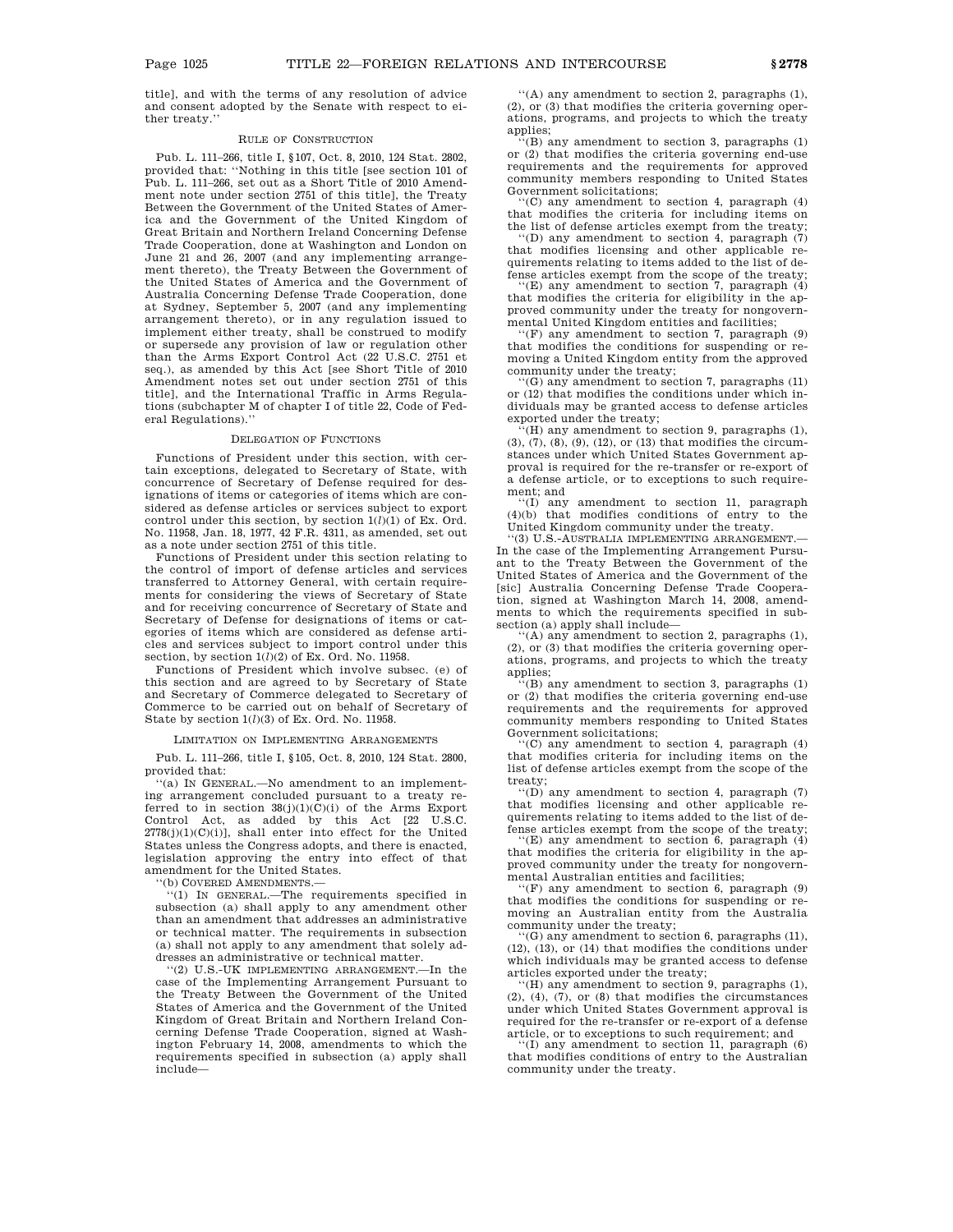title], and with the terms of any resolution of advice and consent adopted by the Senate with respect to either treaty.

### RULE OF CONSTRUCTION

Pub. L. 111–266, title I, §107, Oct. 8, 2010, 124 Stat. 2802, provided that: ''Nothing in this title [see section 101 of Pub. L. 111–266, set out as a Short Title of 2010 Amendment note under section 2751 of this title], the Treaty Between the Government of the United States of America and the Government of the United Kingdom of Great Britain and Northern Ireland Concerning Defense Trade Cooperation, done at Washington and London on June 21 and 26, 2007 (and any implementing arrangement thereto), the Treaty Between the Government of the United States of America and the Government of Australia Concerning Defense Trade Cooperation, done at Sydney, September 5, 2007 (and any implementing arrangement thereto), or in any regulation issued to implement either treaty, shall be construed to modify or supersede any provision of law or regulation other than the Arms Export Control Act (22 U.S.C. 2751 et seq.), as amended by this Act [see Short Title of 2010 Amendment notes set out under section 2751 of this title], and the International Traffic in Arms Regulations (subchapter M of chapter I of title 22, Code of Federal Regulations).''

#### DELEGATION OF FUNCTIONS

Functions of President under this section, with certain exceptions, delegated to Secretary of State, with concurrence of Secretary of Defense required for designations of items or categories of items which are considered as defense articles or services subject to export control under this section, by section 1(*l*)(1) of Ex. Ord. No. 11958, Jan. 18, 1977, 42 F.R. 4311, as amended, set out as a note under section 2751 of this title.

Functions of President under this section relating to the control of import of defense articles and services transferred to Attorney General, with certain requirements for considering the views of Secretary of State and for receiving concurrence of Secretary of State and Secretary of Defense for designations of items or categories of items which are considered as defense articles and services subject to import control under this section, by section 1(*l*)(2) of Ex. Ord. No. 11958.

Functions of President which involve subsec. (e) of this section and are agreed to by Secretary of State and Secretary of Commerce delegated to Secretary of Commerce to be carried out on behalf of Secretary of State by section 1(*l*)(3) of Ex. Ord. No. 11958.

### LIMITATION ON IMPLEMENTING ARRANGEMENTS

Pub. L. 111–266, title I, §105, Oct. 8, 2010, 124 Stat. 2800, provided that:

''(a) IN GENERAL.—No amendment to an implementing arrangement concluded pursuant to a treaty referred to in section  $38(j)(1)(C)(i)$  of the Arms Export Control Act, as added by this Act [22 U.S.C.  $2778(j)(1)(C)(i)$ , shall enter into effect for the United States unless the Congress adopts, and there is enacted, legislation approving the entry into effect of that amendment for the United States.

''(b) COVERED AMENDMENTS.—

''(1) IN GENERAL.—The requirements specified in subsection (a) shall apply to any amendment other than an amendment that addresses an administrative or technical matter. The requirements in subsection (a) shall not apply to any amendment that solely addresses an administrative or technical matter.

''(2) U.S.-UK IMPLEMENTING ARRANGEMENT.—In the case of the Implementing Arrangement Pursuant to the Treaty Between the Government of the United States of America and the Government of the United Kingdom of Great Britain and Northern Ireland Concerning Defense Trade Cooperation, signed at Washington February 14, 2008, amendments to which the requirements specified in subsection (a) apply shall include—

''(A) any amendment to section 2, paragraphs (1), (2), or (3) that modifies the criteria governing operations, programs, and projects to which the treaty applies;

 $\cdot$ <sup>( $\cdot$ </sup>(B) any amendment to section 3, paragraphs (1) or (2) that modifies the criteria governing end-use requirements and the requirements for approved community members responding to United States Government solicitations;

 $(C)$  any amendment to section 4, paragraph  $(4)$ that modifies the criteria for including items on

the list of defense articles exempt from the treaty; ''(D) any amendment to section 4, paragraph (7) that modifies licensing and other applicable requirements relating to items added to the list of defense articles exempt from the scope of the treaty; ''(E) any amendment to section 7, paragraph (4)

that modifies the criteria for eligibility in the approved community under the treaty for nongovernmental United Kingdom entities and facilities;

 $'(F)$  any amendment to section 7, paragraph  $(9)$ that modifies the conditions for suspending or removing a United Kingdom entity from the approved community under the treaty;

 $f(G)$  any amendment to section 7, paragraphs  $(11)$ or (12) that modifies the conditions under which individuals may be granted access to defense articles exported under the treaty;

 $\widetilde{H}(H)$  any amendment to section 9, paragraphs (1), (3), (7), (8), (9), (12), or (13) that modifies the circumstances under which United States Government approval is required for the re-transfer or re-export of a defense article, or to exceptions to such requirement; and

''(I) any amendment to section 11, paragraph (4)(b) that modifies conditions of entry to the United Kingdom community under the treaty.

'(3) U.S.-AUSTRALIA IMPLEMENTING ARRANGEMENT. In the case of the Implementing Arrangement Pursuant to the Treaty Between the Government of the United States of America and the Government of the [sic] Australia Concerning Defense Trade Cooperation, signed at Washington March 14, 2008, amendments to which the requirements specified in subsection (a) apply shall include—

 $'(A)$  any amendment to section 2, paragraphs  $(1)$ , (2), or (3) that modifies the criteria governing operations, programs, and projects to which the treaty applies;

 $($ B) any amendment to section 3, paragraphs  $(1)$ or (2) that modifies the criteria governing end-use requirements and the requirements for approved community members responding to United States

Government solicitations; ''(C) any amendment to section 4, paragraph (4) that modifies criteria for including items on the list of defense articles exempt from the scope of the treaty;

 $\cdot\cdot\cdot$ (D) any amendment to section 4, paragraph (7) that modifies licensing and other applicable requirements relating to items added to the list of defense articles exempt from the scope of the treaty;

''(E) any amendment to section 6, paragraph (4) that modifies the criteria for eligibility in the approved community under the treaty for nongovernmental Australian entities and facilities;

 $'(F)$  any amendment to section 6, paragraph  $(9)$ that modifies the conditions for suspending or removing an Australian entity from the Australia community under the treaty;

 $'(G)$  any amendment to section 6, paragraphs  $(11)$ , (12), (13), or (14) that modifies the conditions under which individuals may be granted access to defense articles exported under the treaty;

''(H) any amendment to section 9, paragraphs (1), (2), (4), (7), or (8) that modifies the circumstances under which United States Government approval is required for the re-transfer or re-export of a defense article, or to exceptions to such requirement; and

''(I) any amendment to section 11, paragraph (6) that modifies conditions of entry to the Australian community under the treaty.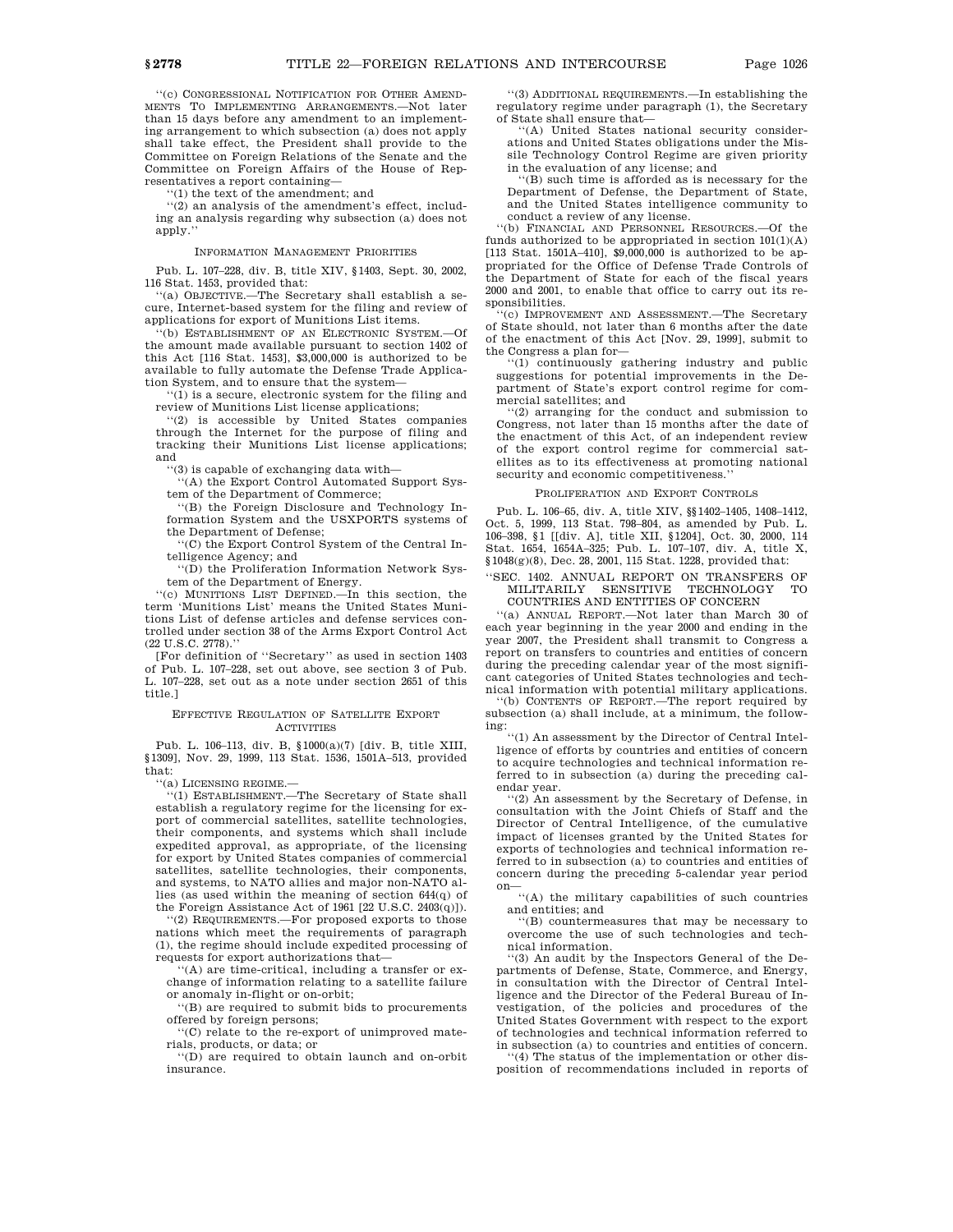''(c) CONGRESSIONAL NOTIFICATION FOR OTHER AMEND-MENTS TO IMPLEMENTING ARRANGEMENTS.—Not later than 15 days before any amendment to an implementing arrangement to which subsection (a) does not apply shall take effect, the President shall provide to the Committee on Foreign Relations of the Senate and the Committee on Foreign Affairs of the House of Representatives a report containing—

''(1) the text of the amendment; and

''(2) an analysis of the amendment's effect, including an analysis regarding why subsection (a) does not apply.''

INFORMATION MANAGEMENT PRIORITIES

Pub. L. 107–228, div. B, title XIV, §1403, Sept. 30, 2002, 116 Stat. 1453, provided that:

''(a) OBJECTIVE.—The Secretary shall establish a secure, Internet-based system for the filing and review of applications for export of Munitions List items.

(b) ESTABLISHMENT OF AN ELECTRONIC SYSTEM.-- Of the amount made available pursuant to section 1402 of this Act  $[116 \text{ Stat. } 1453]$ , \$3,000,000 is authorized to be available to fully automate the Defense Trade Application System, and to ensure that the system—

''(1) is a secure, electronic system for the filing and review of Munitions List license applications;

''(2) is accessible by United States companies through the Internet for the purpose of filing and tracking their Munitions List license applications; and

'(3) is capable of exchanging data with-

''(A) the Export Control Automated Support System of the Department of Commerce;

''(B) the Foreign Disclosure and Technology Information System and the USXPORTS systems of the Department of Defense;

''(C) the Export Control System of the Central Intelligence Agency; and

''(D) the Proliferation Information Network System of the Department of Energy.

''(c) MUNITIONS LIST DEFINED.—In this section, the term 'Munitions List' means the United States Munitions List of defense articles and defense services controlled under section 38 of the Arms Export Control Act (22 U.S.C. 2778).''

[For definition of ''Secretary'' as used in section 1403 of Pub. L. 107–228, set out above, see section 3 of Pub. L. 107–228, set out as a note under section 2651 of this title.]

#### EFFECTIVE REGULATION OF SATELLITE EXPORT ACTIVITIES

Pub. L. 106–113, div. B, §1000(a)(7) [div. B, title XIII, §1309], Nov. 29, 1999, 113 Stat. 1536, 1501A–513, provided that:

''(a) LICENSING REGIME.—

''(1) ESTABLISHMENT.—The Secretary of State shall establish a regulatory regime for the licensing for export of commercial satellites, satellite technologies, their components, and systems which shall include expedited approval, as appropriate, of the licensing for export by United States companies of commercial satellites, satellite technologies, their components, and systems, to NATO allies and major non-NATO allies (as used within the meaning of section 644(q) of the Foreign Assistance Act of 1961 [22 U.S.C. 2403(q)]).

''(2) REQUIREMENTS.—For proposed exports to those nations which meet the requirements of paragraph (1), the regime should include expedited processing of requests for export authorizations that—

''(A) are time-critical, including a transfer or exchange of information relating to a satellite failure or anomaly in-flight or on-orbit;

''(B) are required to submit bids to procurements offered by foreign persons;

''(C) relate to the re-export of unimproved materials, products, or data; or

''(D) are required to obtain launch and on-orbit insurance.

''(3) ADDITIONAL REQUIREMENTS.—In establishing the regulatory regime under paragraph (1), the Secretary of State shall ensure that—

''(A) United States national security considerations and United States obligations under the Missile Technology Control Regime are given priority in the evaluation of any license; and

''(B) such time is afforded as is necessary for the Department of Defense, the Department of State, and the United States intelligence community to conduct a review of any license.

''(b) FINANCIAL AND PERSONNEL RESOURCES.—Of the funds authorized to be appropriated in section  $101(1)(A)$ [113 Stat. 1501A–410], \$9,000,000 is authorized to be appropriated for the Office of Defense Trade Controls of the Department of State for each of the fiscal years 2000 and 2001, to enable that office to carry out its responsibilities.

''(c) IMPROVEMENT AND ASSESSMENT.—The Secretary of State should, not later than 6 months after the date of the enactment of this Act [Nov. 29, 1999], submit to the Congress a plan for—

''(1) continuously gathering industry and public suggestions for potential improvements in the Department of State's export control regime for commercial satellites; and

''(2) arranging for the conduct and submission to Congress, not later than 15 months after the date of the enactment of this Act, of an independent review of the export control regime for commercial satellites as to its effectiveness at promoting national security and economic competitiveness.''

### PROLIFERATION AND EXPORT CONTROLS

Pub. L. 106–65, div. A, title XIV, §§1402–1405, 1408–1412, Oct. 5, 1999, 113 Stat. 798–804, as amended by Pub. L. 106–398, §1 [[div. A], title XII, §1204], Oct. 30, 2000, 114 Stat. 1654, 1654A–325; Pub. L. 107–107, div. A, title X, §1048(g)(8), Dec. 28, 2001, 115 Stat. 1228, provided that:

''SEC. 1402. ANNUAL REPORT ON TRANSFERS OF MILITARILY SENSITIVE TECHNOLOGY TO COUNTRIES AND ENTITIES OF CONCERN

''(a) ANNUAL REPORT.—Not later than March 30 of each year beginning in the year 2000 and ending in the year 2007, the President shall transmit to Congress a report on transfers to countries and entities of concern during the preceding calendar year of the most significant categories of United States technologies and technical information with potential military applications.

''(b) CONTENTS OF REPORT.—The report required by subsection (a) shall include, at a minimum, the following: ''(1) An assessment by the Director of Central Intel-

ligence of efforts by countries and entities of concern to acquire technologies and technical information referred to in subsection (a) during the preceding calendar year.

''(2) An assessment by the Secretary of Defense, in consultation with the Joint Chiefs of Staff and the Director of Central Intelligence, of the cumulative impact of licenses granted by the United States for exports of technologies and technical information referred to in subsection (a) to countries and entities of concern during the preceding 5-calendar year period on—

''(A) the military capabilities of such countries and entities; and

''(B) countermeasures that may be necessary to overcome the use of such technologies and technical information.

''(3) An audit by the Inspectors General of the Departments of Defense, State, Commerce, and Energy, in consultation with the Director of Central Intelligence and the Director of the Federal Bureau of Investigation, of the policies and procedures of the United States Government with respect to the export of technologies and technical information referred to

in subsection (a) to countries and entities of concern. ''(4) The status of the implementation or other disposition of recommendations included in reports of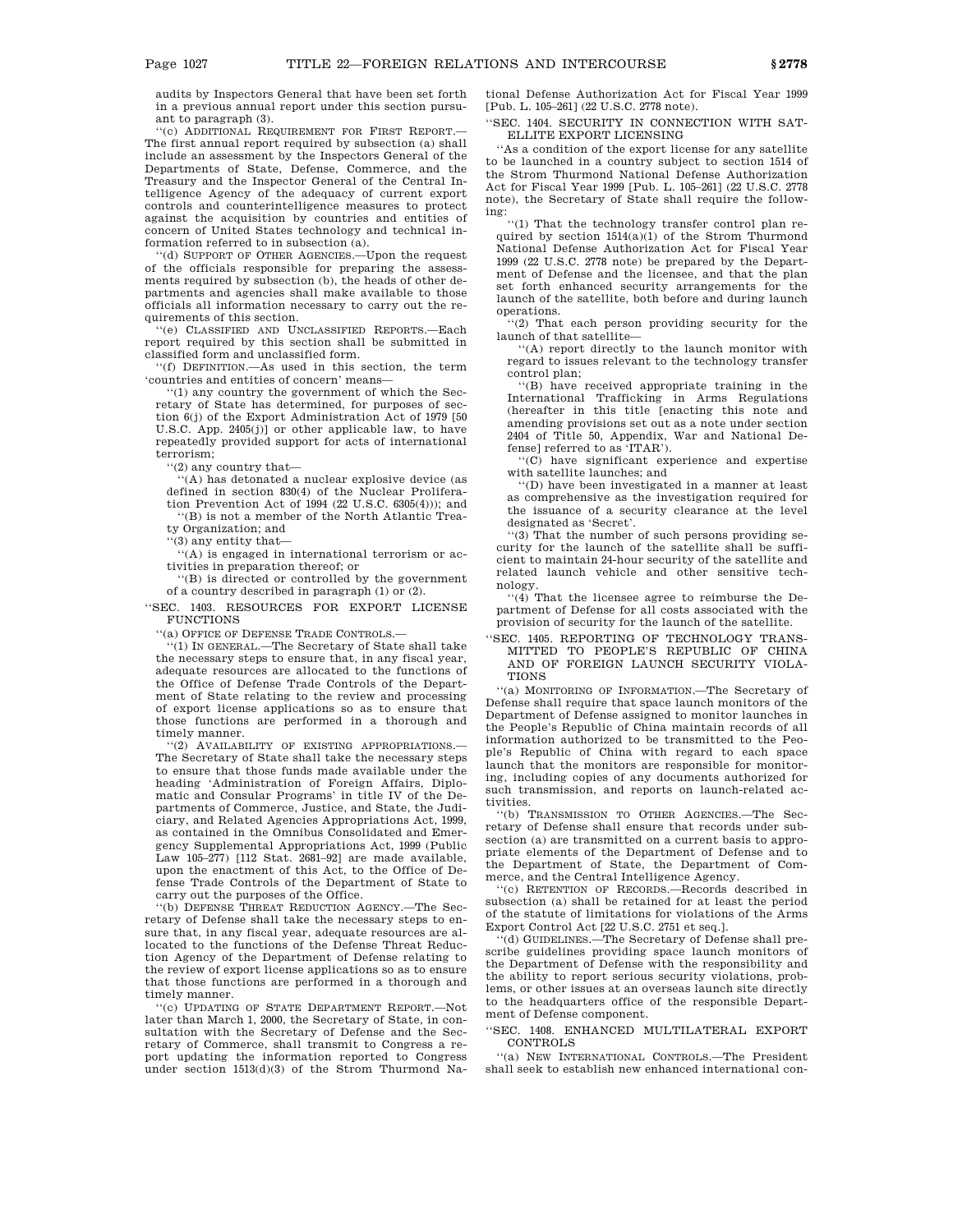audits by Inspectors General that have been set forth in a previous annual report under this section pursuant to paragraph (3).

'(c) ADDITIONAL REQUIREMENT FOR FIRST REPORT.-The first annual report required by subsection (a) shall include an assessment by the Inspectors General of the Departments of State, Defense, Commerce, and the Treasury and the Inspector General of the Central Intelligence Agency of the adequacy of current export controls and counterintelligence measures to protect against the acquisition by countries and entities of concern of United States technology and technical information referred to in subsection (a).

(d) SUPPORT OF OTHER AGENCIES.—Upon the request of the officials responsible for preparing the assessments required by subsection (b), the heads of other departments and agencies shall make available to those officials all information necessary to carry out the requirements of this section.

''(e) CLASSIFIED AND UNCLASSIFIED REPORTS.—Each report required by this section shall be submitted in classified form and unclassified form.

''(f) DEFINITION.—As used in this section, the term 'countries and entities of concern' means—

''(1) any country the government of which the Secretary of State has determined, for purposes of section 6(j) of the Export Administration Act of 1979 [50 U.S.C. App. 2405(j)] or other applicable law, to have repeatedly provided support for acts of international terrorism;

''(2) any country that—

''(A) has detonated a nuclear explosive device (as defined in section 830(4) of the Nuclear Proliferation Prevention Act of 1994 (22 U.S.C. 6305(4))); and ''(B) is not a member of the North Atlantic Trea-

ty Organization; and

''(3) any entity that—

''(A) is engaged in international terrorism or activities in preparation thereof; or

''(B) is directed or controlled by the government of a country described in paragraph (1) or (2).

''SEC. 1403. RESOURCES FOR EXPORT LICENSE FUNCTIONS

''(a) OFFICE OF DEFENSE TRADE CONTROLS.— ''(1) IN GENERAL.—The Secretary of State shall take the necessary steps to ensure that, in any fiscal year, adequate resources are allocated to the functions of the Office of Defense Trade Controls of the Department of State relating to the review and processing of export license applications so as to ensure that those functions are performed in a thorough and timely manner.

''(2) AVAILABILITY OF EXISTING APPROPRIATIONS.— The Secretary of State shall take the necessary steps to ensure that those funds made available under the heading 'Administration of Foreign Affairs, Diplomatic and Consular Programs' in title IV of the Departments of Commerce, Justice, and State, the Judiciary, and Related Agencies Appropriations Act, 1999, as contained in the Omnibus Consolidated and Emergency Supplemental Appropriations Act, 1999 (Public Law 105–277) [112 Stat. 2681–92] are made available, upon the enactment of this Act, to the Office of Defense Trade Controls of the Department of State to carry out the purposes of the Office.

''(b) DEFENSE THREAT REDUCTION AGENCY.—The Secretary of Defense shall take the necessary steps to ensure that, in any fiscal year, adequate resources are allocated to the functions of the Defense Threat Reduction Agency of the Department of Defense relating to the review of export license applications so as to ensure that those functions are performed in a thorough and timely manner.

''(c) UPDATING OF STATE DEPARTMENT REPORT.—Not later than March 1, 2000, the Secretary of State, in consultation with the Secretary of Defense and the Secretary of Commerce, shall transmit to Congress a report updating the information reported to Congress under section 1513(d)(3) of the Strom Thurmond National Defense Authorization Act for Fiscal Year 1999 [Pub. L. 105–261] (22 U.S.C. 2778 note).

''SEC. 1404. SECURITY IN CONNECTION WITH SAT-ELLITE EXPORT LICENSING

''As a condition of the export license for any satellite to be launched in a country subject to section 1514 of the Strom Thurmond National Defense Authorization Act for Fiscal Year 1999 [Pub. L. 105–261] (22 U.S.C. 2778 note), the Secretary of State shall require the following:

''(1) That the technology transfer control plan required by section 1514(a)(1) of the Strom Thurmond National Defense Authorization Act for Fiscal Year 1999 (22 U.S.C. 2778 note) be prepared by the Department of Defense and the licensee, and that the plan set forth enhanced security arrangements for the launch of the satellite, both before and during launch operations.

''(2) That each person providing security for the launch of that satellite—

''(A) report directly to the launch monitor with regard to issues relevant to the technology transfer control plan;

''(B) have received appropriate training in the International Trafficking in Arms Regulations (hereafter in this title [enacting this note and amending provisions set out as a note under section 2404 of Title 50, Appendix, War and National Defense] referred to as 'ITAR').

''(C) have significant experience and expertise with satellite launches; and

''(D) have been investigated in a manner at least as comprehensive as the investigation required for the issuance of a security clearance at the level designated as 'Secret'.

''(3) That the number of such persons providing security for the launch of the satellite shall be sufficient to maintain 24-hour security of the satellite and related launch vehicle and other sensitive technology.

''(4) That the licensee agree to reimburse the Department of Defense for all costs associated with the provision of security for the launch of the satellite.

"SEC. 1405. REPORTING OF TECHNOLOGY TRANS-MITTED TO PEOPLE'S REPUBLIC OF CHINA AND OF FOREIGN LAUNCH SECURITY VIOLA-TIONS

''(a) MONITORING OF INFORMATION.—The Secretary of Defense shall require that space launch monitors of the Department of Defense assigned to monitor launches in the People's Republic of China maintain records of all information authorized to be transmitted to the People's Republic of China with regard to each space launch that the monitors are responsible for monitoring, including copies of any documents authorized for such transmission, and reports on launch-related activities.

''(b) TRANSMISSION TO OTHER AGENCIES.—The Secretary of Defense shall ensure that records under subsection (a) are transmitted on a current basis to appropriate elements of the Department of Defense and to the Department of State, the Department of Commerce, and the Central Intelligence Agency.

''(c) RETENTION OF RECORDS.—Records described in subsection (a) shall be retained for at least the period of the statute of limitations for violations of the Arms Export Control Act [22 U.S.C. 2751 et seq.].

''(d) GUIDELINES.—The Secretary of Defense shall prescribe guidelines providing space launch monitors of the Department of Defense with the responsibility and the ability to report serious security violations, problems, or other issues at an overseas launch site directly to the headquarters office of the responsible Department of Defense component.

''SEC. 1408. ENHANCED MULTILATERAL EXPORT CONTROLS

(a) NEW INTERNATIONAL CONTROLS.—The President shall seek to establish new enhanced international con-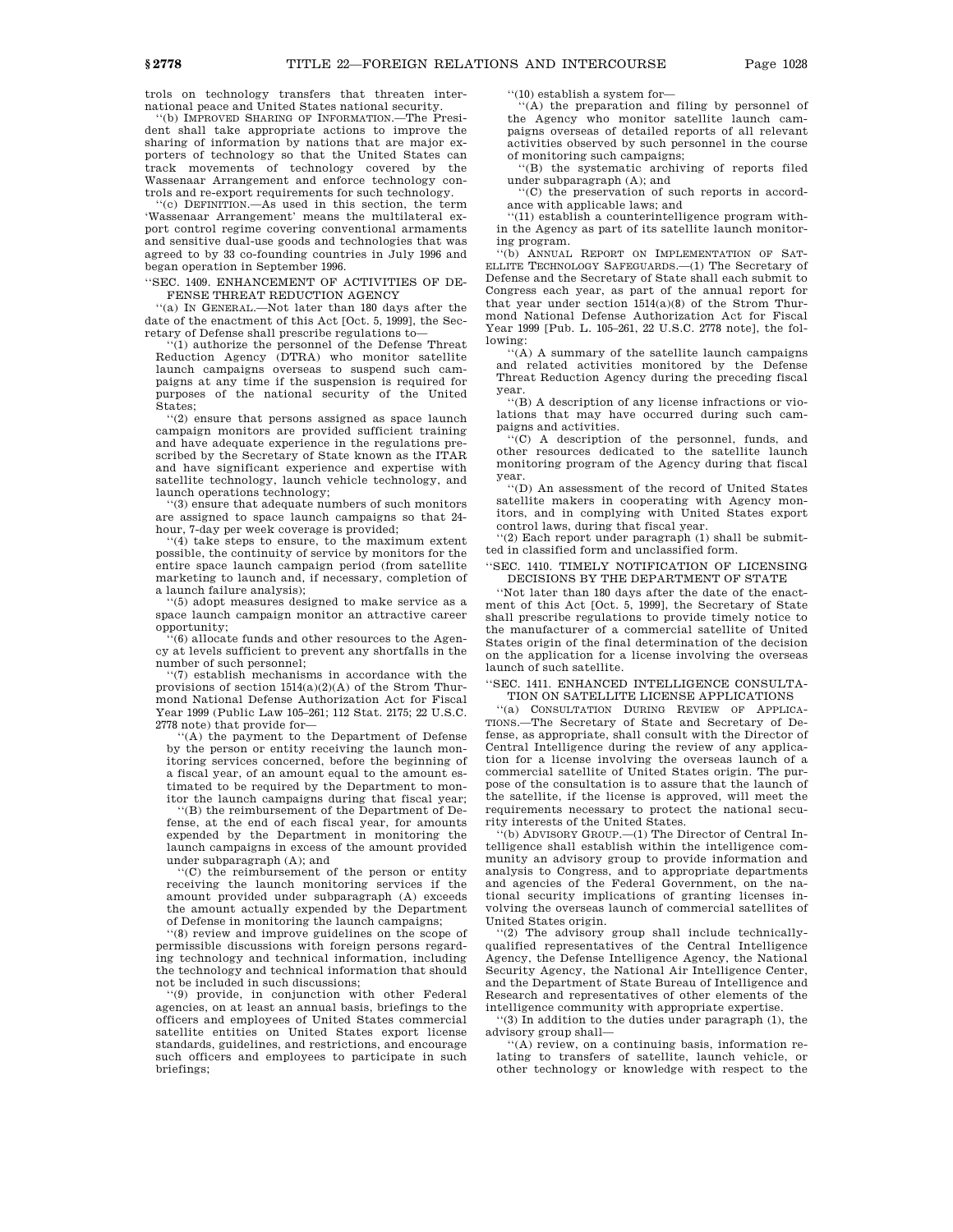trols on technology transfers that threaten international peace and United States national security.

''(b) IMPROVED SHARING OF INFORMATION.—The President shall take appropriate actions to improve the sharing of information by nations that are major exporters of technology so that the United States can track movements of technology covered by the Wassenaar Arrangement and enforce technology controls and re-export requirements for such technology.

'(c) DEFINITION.—As used in this section, the term 'Wassenaar Arrangement' means the multilateral export control regime covering conventional armaments and sensitive dual-use goods and technologies that was agreed to by 33 co-founding countries in July 1996 and began operation in September 1996.

''SEC. 1409. ENHANCEMENT OF ACTIVITIES OF DE-FENSE THREAT REDUCTION AGENCY

''(a) IN GENERAL.—Not later than 180 days after the date of the enactment of this Act [Oct. 5, 1999], the Secretary of Defense shall prescribe regulations to—

 $(1)$  authorize the personnel of the Defense Threat Reduction Agency (DTRA) who monitor satellite launch campaigns overseas to suspend such campaigns at any time if the suspension is required for purposes of the national security of the United States;

''(2) ensure that persons assigned as space launch campaign monitors are provided sufficient training and have adequate experience in the regulations prescribed by the Secretary of State known as the ITAR and have significant experience and expertise with satellite technology, launch vehicle technology, and launch operations technology;

''(3) ensure that adequate numbers of such monitors are assigned to space launch campaigns so that 24 hour, 7-day per week coverage is provided;

''(4) take steps to ensure, to the maximum extent possible, the continuity of service by monitors for the entire space launch campaign period (from satellite marketing to launch and, if necessary, completion of a launch failure analysis);

''(5) adopt measures designed to make service as a space launch campaign monitor an attractive career opportunity;

 $(6)$  allocate funds and other resources to the Agency at levels sufficient to prevent any shortfalls in the number of such personnel;

''(7) establish mechanisms in accordance with the provisions of section  $1514(a)(2)(A)$  of the Strom Thurmond National Defense Authorization Act for Fiscal Year 1999 (Public Law 105–261; 112 Stat. 2175; 22 U.S.C. 2778 note) that provide for—

''(A) the payment to the Department of Defense by the person or entity receiving the launch monitoring services concerned, before the beginning of a fiscal year, of an amount equal to the amount estimated to be required by the Department to monitor the launch campaigns during that fiscal year;

''(B) the reimbursement of the Department of Defense, at the end of each fiscal year, for amounts expended by the Department in monitoring the launch campaigns in excess of the amount provided under subparagraph (A); and

''(C) the reimbursement of the person or entity receiving the launch monitoring services if the amount provided under subparagraph (A) exceeds the amount actually expended by the Department of Defense in monitoring the launch campaigns;

''(8) review and improve guidelines on the scope of permissible discussions with foreign persons regarding technology and technical information, including the technology and technical information that should not be included in such discussions;

''(9) provide, in conjunction with other Federal agencies, on at least an annual basis, briefings to the officers and employees of United States commercial satellite entities on United States export license standards, guidelines, and restrictions, and encourage such officers and employees to participate in such briefings;

''(10) establish a system for—

''(A) the preparation and filing by personnel of the Agency who monitor satellite launch campaigns overseas of detailed reports of all relevant activities observed by such personnel in the course of monitoring such campaigns;

''(B) the systematic archiving of reports filed under subparagraph (A); and

''(C) the preservation of such reports in accordance with applicable laws; and

''(11) establish a counterintelligence program within the Agency as part of its satellite launch monitoring program.

''(b) ANNUAL REPORT ON IMPLEMENTATION OF SAT-ELLITE TECHNOLOGY SAFEGUARDS.—(1) The Secretary of Defense and the Secretary of State shall each submit to Congress each year, as part of the annual report for that year under section 1514(a)(8) of the Strom Thurmond National Defense Authorization Act for Fiscal Year 1999 [Pub. L. 105–261, 22 U.S.C. 2778 note], the following:

''(A) A summary of the satellite launch campaigns and related activities monitored by the Defense Threat Reduction Agency during the preceding fiscal year.

''(B) A description of any license infractions or violations that may have occurred during such campaigns and activities.

''(C) A description of the personnel, funds, and other resources dedicated to the satellite launch monitoring program of the Agency during that fiscal year.

''(D) An assessment of the record of United States satellite makers in cooperating with Agency monitors, and in complying with United States export control laws, during that fiscal year.

''(2) Each report under paragraph (1) shall be submitted in classified form and unclassified form.

''SEC. 1410. TIMELY NOTIFICATION OF LICENSING DECISIONS BY THE DEPARTMENT OF STATE

''Not later than 180 days after the date of the enactment of this Act [Oct. 5, 1999], the Secretary of State shall prescribe regulations to provide timely notice to the manufacturer of a commercial satellite of United States origin of the final determination of the decision on the application for a license involving the overseas launch of such satellite.

'SEC. 1411. ENHANCED INTELLIGENCE CONSULTA-TION ON SATELLITE LICENSE APPLICATIONS

''(a) CONSULTATION DURING REVIEW OF APPLICA-TIONS.—The Secretary of State and Secretary of Defense, as appropriate, shall consult with the Director of Central Intelligence during the review of any application for a license involving the overseas launch of a commercial satellite of United States origin. The purpose of the consultation is to assure that the launch of the satellite, if the license is approved, will meet the requirements necessary to protect the national security interests of the United States.

''(b) ADVISORY GROUP.—(1) The Director of Central Intelligence shall establish within the intelligence community an advisory group to provide information and analysis to Congress, and to appropriate departments and agencies of the Federal Government, on the national security implications of granting licenses involving the overseas launch of commercial satellites of United States origin.

"(2) The advisory group shall include technicallyqualified representatives of the Central Intelligence Agency, the Defense Intelligence Agency, the National Security Agency, the National Air Intelligence Center, and the Department of State Bureau of Intelligence and Research and representatives of other elements of the intelligence community with appropriate expertise.

''(3) In addition to the duties under paragraph (1), the advisory group shall—

''(A) review, on a continuing basis, information relating to transfers of satellite, launch vehicle, or other technology or knowledge with respect to the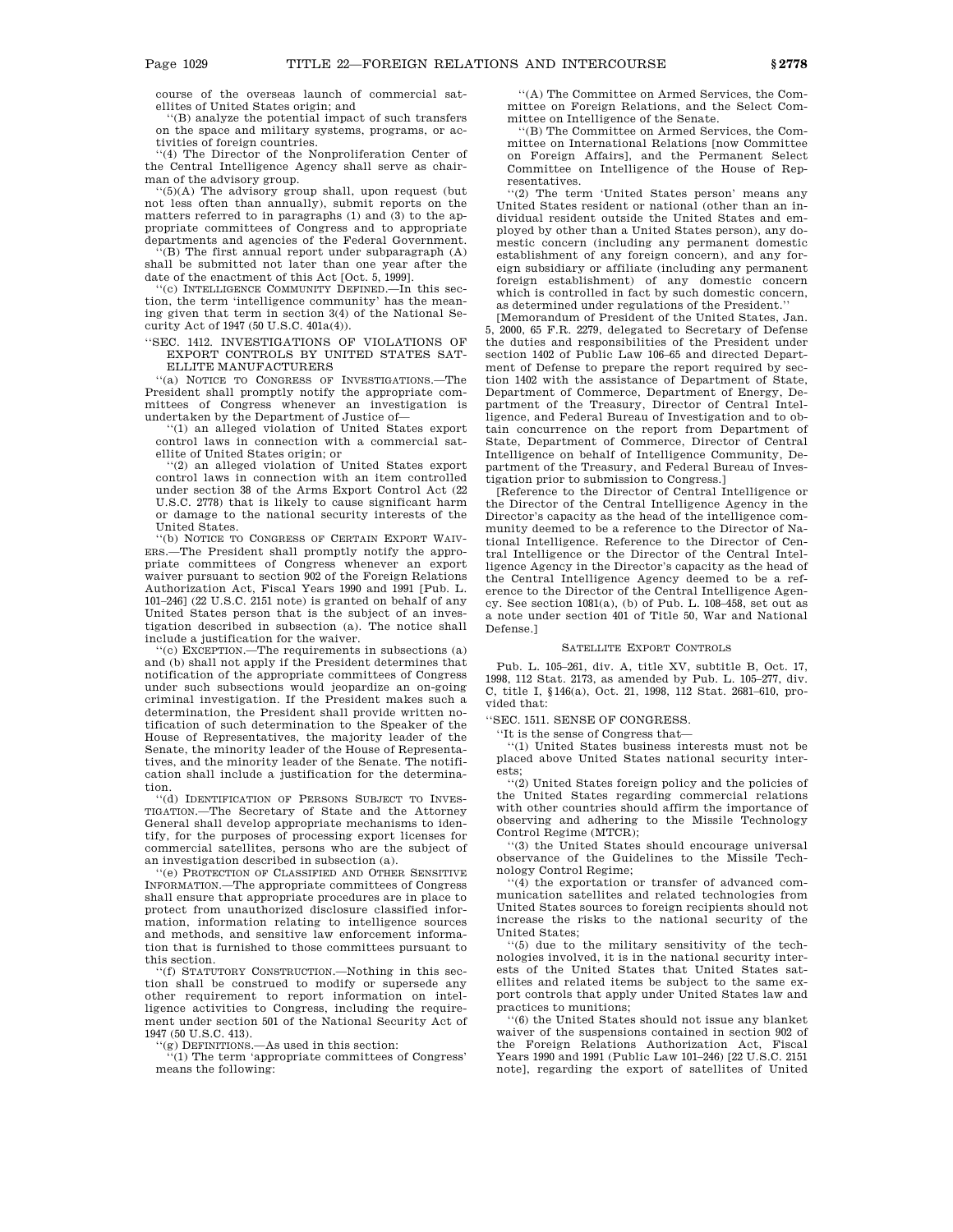course of the overseas launch of commercial satellites of United States origin; and

''(B) analyze the potential impact of such transfers on the space and military systems, programs, or activities of foreign countries.

''(4) The Director of the Nonproliferation Center of the Central Intelligence Agency shall serve as chairman of the advisory group.

 $(5)(A)$  The advisory group shall, upon request (but not less often than annually), submit reports on the matters referred to in paragraphs (1) and (3) to the appropriate committees of Congress and to appropriate departments and agencies of the Federal Government.

 $($ B) The first annual report under subparagraph  $(A)$ shall be submitted not later than one year after the date of the enactment of this Act [Oct. 5, 1999].

''(c) INTELLIGENCE COMMUNITY DEFINED.—In this section, the term 'intelligence community' has the meaning given that term in section 3(4) of the National Security Act of 1947 (50 U.S.C. 401a(4)).

### ''SEC. 1412. INVESTIGATIONS OF VIOLATIONS OF EXPORT CONTROLS BY UNITED STATES SAT-ELLITE MANUFACTURERS

''(a) NOTICE TO CONGRESS OF INVESTIGATIONS.—The President shall promptly notify the appropriate committees of Congress whenever an investigation is undertaken by the Department of Justice of—

'(1) an alleged violation of United States export control laws in connection with a commercial satellite of United States origin; or

''(2) an alleged violation of United States export control laws in connection with an item controlled under section 38 of the Arms Export Control Act (22 U.S.C. 2778) that is likely to cause significant harm or damage to the national security interests of the United States.

''(b) NOTICE TO CONGRESS OF CERTAIN EXPORT WAIV-ERS.—The President shall promptly notify the appropriate committees of Congress whenever an export waiver pursuant to section 902 of the Foreign Relations Authorization Act, Fiscal Years 1990 and 1991 [Pub. L. 101–246] (22 U.S.C. 2151 note) is granted on behalf of any United States person that is the subject of an investigation described in subsection (a). The notice shall include a justification for the waiver.

'(c) EXCEPTION.—The requirements in subsections (a) and (b) shall not apply if the President determines that notification of the appropriate committees of Congress under such subsections would jeopardize an on-going criminal investigation. If the President makes such a determination, the President shall provide written notification of such determination to the Speaker of the House of Representatives, the majority leader of the Senate, the minority leader of the House of Representatives, and the minority leader of the Senate. The notification shall include a justification for the determination.

''(d) IDENTIFICATION OF PERSONS SUBJECT TO INVES-TIGATION.—The Secretary of State and the Attorney General shall develop appropriate mechanisms to identify, for the purposes of processing export licenses for commercial satellites, persons who are the subject of an investigation described in subsection (a).

'(e) PROTECTION OF CLASSIFIED AND OTHER SENSITIVE INFORMATION.—The appropriate committees of Congress shall ensure that appropriate procedures are in place to protect from unauthorized disclosure classified information, information relating to intelligence sources and methods, and sensitive law enforcement information that is furnished to those committees pursuant to this section.

''(f) STATUTORY CONSTRUCTION.—Nothing in this section shall be construed to modify or supersede any other requirement to report information on intelligence activities to Congress, including the requirement under section 501 of the National Security Act of 1947 (50 U.S.C. 413).

''(g) DEFINITIONS.—As used in this section: ''(1) The term 'appropriate committees of Congress' means the following:

''(A) The Committee on Armed Services, the Committee on Foreign Relations, and the Select Committee on Intelligence of the Senate.

''(B) The Committee on Armed Services, the Committee on International Relations [now Committee on Foreign Affairs], and the Permanent Select Committee on Intelligence of the House of Representatives.

''(2) The term 'United States person' means any United States resident or national (other than an individual resident outside the United States and employed by other than a United States person), any domestic concern (including any permanent domestic establishment of any foreign concern), and any foreign subsidiary or affiliate (including any permanent foreign establishment) of any domestic concern which is controlled in fact by such domestic concern, as determined under regulations of the President.''

[Memorandum of President of the United States, Jan. 5, 2000, 65 F.R. 2279, delegated to Secretary of Defense the duties and responsibilities of the President under section 1402 of Public Law 106–65 and directed Department of Defense to prepare the report required by section 1402 with the assistance of Department of State, Department of Commerce, Department of Energy, Department of the Treasury, Director of Central Intelligence, and Federal Bureau of Investigation and to obtain concurrence on the report from Department of State, Department of Commerce, Director of Central Intelligence on behalf of Intelligence Community, Department of the Treasury, and Federal Bureau of Investigation prior to submission to Congress.]

[Reference to the Director of Central Intelligence or the Director of the Central Intelligence Agency in the Director's capacity as the head of the intelligence community deemed to be a reference to the Director of National Intelligence. Reference to the Director of Central Intelligence or the Director of the Central Intelligence Agency in the Director's capacity as the head of the Central Intelligence Agency deemed to be a reference to the Director of the Central Intelligence Agency. See section 1081(a), (b) of Pub. L. 108–458, set out as a note under section 401 of Title 50, War and National Defense.]

### SATELLITE EXPORT CONTROLS

Pub. L. 105–261, div. A, title XV, subtitle B, Oct. 17, 1998, 112 Stat. 2173, as amended by Pub. L. 105–277, div. C, title I, §146(a), Oct. 21, 1998, 112 Stat. 2681–610, provided that:

''SEC. 1511. SENSE OF CONGRESS.

''It is the sense of Congress that—

''(1) United States business interests must not be placed above United States national security interests;

''(2) United States foreign policy and the policies of the United States regarding commercial relations with other countries should affirm the importance of observing and adhering to the Missile Technology Control Regime (MTCR);

''(3) the United States should encourage universal observance of the Guidelines to the Missile Technology Control Regime;

''(4) the exportation or transfer of advanced communication satellites and related technologies from United States sources to foreign recipients should not increase the risks to the national security of the United States;

 $(5)$  due to the military sensitivity of the technologies involved, it is in the national security interests of the United States that United States satellites and related items be subject to the same export controls that apply under United States law and practices to munitions;

''(6) the United States should not issue any blanket waiver of the suspensions contained in section 902 of the Foreign Relations Authorization Act, Fiscal Years 1990 and 1991 (Public Law 101–246) [22 U.S.C. 2151 note], regarding the export of satellites of United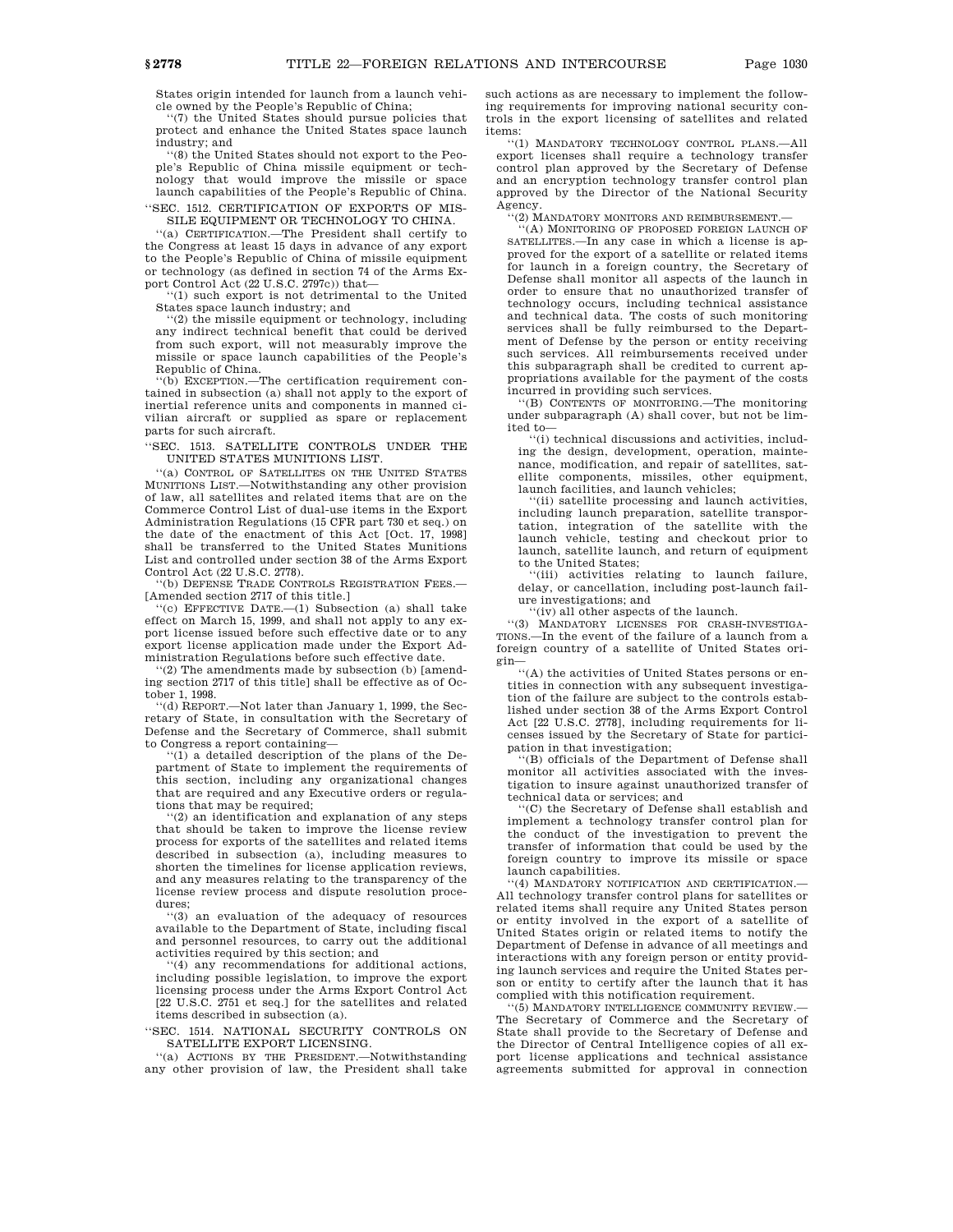States origin intended for launch from a launch vehicle owned by the People's Republic of China;

''(7) the United States should pursue policies that protect and enhance the United States space launch industry; and

''(8) the United States should not export to the People's Republic of China missile equipment or technology that would improve the missile or space launch capabilities of the People's Republic of China. ''SEC. 1512. CERTIFICATION OF EXPORTS OF MIS-

SILE EQUIPMENT OR TECHNOLOGY TO CHINA.

''(a) CERTIFICATION.—The President shall certify to the Congress at least 15 days in advance of any export to the People's Republic of China of missile equipment or technology (as defined in section 74 of the Arms Export Control Act (22 U.S.C. 2797c)) that—

'(1) such export is not detrimental to the United States space launch industry; and

''(2) the missile equipment or technology, including any indirect technical benefit that could be derived from such export, will not measurably improve the missile or space launch capabilities of the People's Republic of China.

''(b) EXCEPTION.—The certification requirement contained in subsection (a) shall not apply to the export of inertial reference units and components in manned civilian aircraft or supplied as spare or replacement parts for such aircraft.

''SEC. 1513. SATELLITE CONTROLS UNDER THE UNITED STATES MUNITIONS LIST.

''(a) CONTROL OF SATELLITES ON THE UNITED STATES MUNITIONS LIST.—Notwithstanding any other provision of law, all satellites and related items that are on the Commerce Control List of dual-use items in the Export Administration Regulations (15 CFR part 730 et seq.) on the date of the enactment of this Act [Oct. 17, 1998] shall be transferred to the United States Munitions List and controlled under section 38 of the Arms Export Control Act (22 U.S.C. 2778).

'(b) DEFENSE TRADE CONTROLS REGISTRATION FEES.-[Amended section 2717 of this title.]

 $'(c)$  EFFECTIVE DATE,  $-(1)$  Subsection (a) shall take effect on March 15, 1999, and shall not apply to any export license issued before such effective date or to any export license application made under the Export Administration Regulations before such effective date.

''(2) The amendments made by subsection (b) [amending section 2717 of this title] shall be effective as of October 1, 1998.

''(d) REPORT.—Not later than January 1, 1999, the Secretary of State, in consultation with the Secretary of Defense and the Secretary of Commerce, shall submit to Congress a report containing—

 $(1)$  a detailed description of the plans of the Department of State to implement the requirements of this section, including any organizational changes that are required and any Executive orders or regulations that may be required;

'(2) an identification and explanation of any steps that should be taken to improve the license review process for exports of the satellites and related items described in subsection (a), including measures to shorten the timelines for license application reviews, and any measures relating to the transparency of the license review process and dispute resolution procedures;

''(3) an evaluation of the adequacy of resources available to the Department of State, including fiscal and personnel resources, to carry out the additional activities required by this section; and

''(4) any recommendations for additional actions, including possible legislation, to improve the export licensing process under the Arms Export Control Act [22 U.S.C. 2751 et seq.] for the satellites and related items described in subsection (a).

''SEC. 1514. NATIONAL SECURITY CONTROLS ON SATELLITE EXPORT LICENSING.

''(a) ACTIONS BY THE PRESIDENT.—Notwithstanding any other provision of law, the President shall take such actions as are necessary to implement the following requirements for improving national security controls in the export licensing of satellites and related items:

''(1) MANDATORY TECHNOLOGY CONTROL PLANS.—All export licenses shall require a technology transfer control plan approved by the Secretary of Defense and an encryption technology transfer control plan approved by the Director of the National Security Agency.

''(2) MANDATORY MONITORS AND REIMBURSEMENT.—

''(A) MONITORING OF PROPOSED FOREIGN LAUNCH OF SATELLITES.—In any case in which a license is approved for the export of a satellite or related items for launch in a foreign country, the Secretary of Defense shall monitor all aspects of the launch in order to ensure that no unauthorized transfer of technology occurs, including technical assistance and technical data. The costs of such monitoring services shall be fully reimbursed to the Department of Defense by the person or entity receiving such services. All reimbursements received under this subparagraph shall be credited to current appropriations available for the payment of the costs incurred in providing such services.

'(B) CONTENTS OF MONITORING. The monitoring under subparagraph (A) shall cover, but not be limited to—

''(i) technical discussions and activities, including the design, development, operation, maintenance, modification, and repair of satellites, satellite components, missiles, other equipment, launch facilities, and launch vehicles;

'(ii) satellite processing and launch activities, including launch preparation, satellite transportation, integration of the satellite with the launch vehicle, testing and checkout prior to launch, satellite launch, and return of equipment to the United States;

''(iii) activities relating to launch failure, delay, or cancellation, including post-launch failure investigations; and

''(iv) all other aspects of the launch.

''(3) MANDATORY LICENSES FOR CRASH-INVESTIGA-TIONS.—In the event of the failure of a launch from a foreign country of a satellite of United States origin—

''(A) the activities of United States persons or entities in connection with any subsequent investigation of the failure are subject to the controls established under section 38 of the Arms Export Control Act [22 U.S.C. 2778], including requirements for licenses issued by the Secretary of State for participation in that investigation;

''(B) officials of the Department of Defense shall monitor all activities associated with the investigation to insure against unauthorized transfer of technical data or services; and

''(C) the Secretary of Defense shall establish and implement a technology transfer control plan for the conduct of the investigation to prevent the transfer of information that could be used by the foreign country to improve its missile or space launch capabilities.

''(4) MANDATORY NOTIFICATION AND CERTIFICATION.— All technology transfer control plans for satellites or related items shall require any United States person or entity involved in the export of a satellite of United States origin or related items to notify the Department of Defense in advance of all meetings and interactions with any foreign person or entity providing launch services and require the United States person or entity to certify after the launch that it has complied with this notification requirement.

''(5) MANDATORY INTELLIGENCE COMMUNITY REVIEW.— The Secretary of Commerce and the Secretary of State shall provide to the Secretary of Defense and the Director of Central Intelligence copies of all export license applications and technical assistance agreements submitted for approval in connection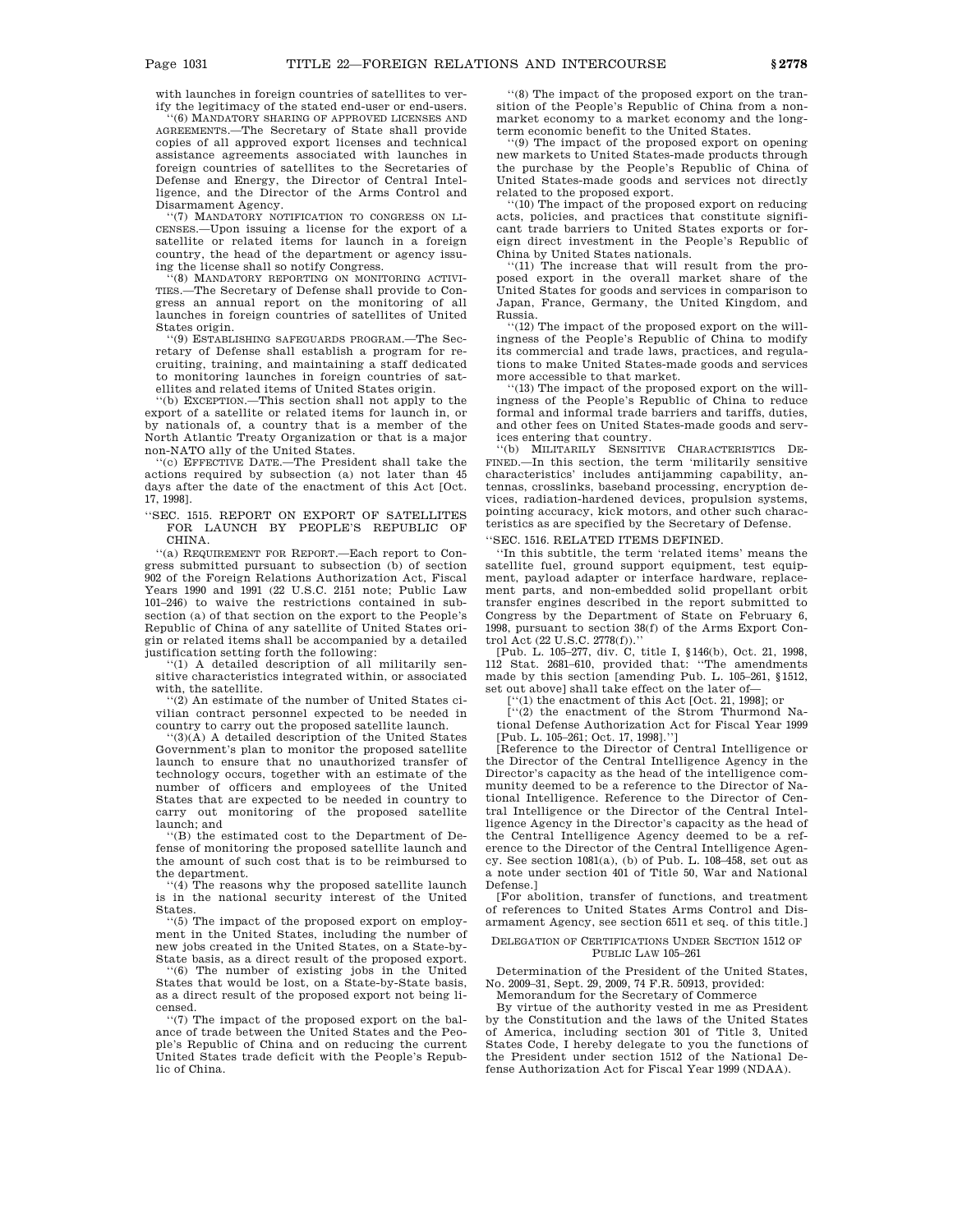with launches in foreign countries of satellites to verify the legitimacy of the stated end-user or end-users.

(6) MANDATORY SHARING OF APPROVED LICENSES AND AGREEMENTS.—The Secretary of State shall provide copies of all approved export licenses and technical assistance agreements associated with launches in foreign countries of satellites to the Secretaries of Defense and Energy, the Director of Central Intelligence, and the Director of the Arms Control and Disarmament Agency.

''(7) MANDATORY NOTIFICATION TO CONGRESS ON LI-CENSES.—Upon issuing a license for the export of a satellite or related items for launch in a foreign country, the head of the department or agency issuing the license shall so notify Congress.

''(8) MANDATORY REPORTING ON MONITORING ACTIVI-TIES.—The Secretary of Defense shall provide to Congress an annual report on the monitoring of all launches in foreign countries of satellites of United States origin.

''(9) ESTABLISHING SAFEGUARDS PROGRAM.—The Secretary of Defense shall establish a program for recruiting, training, and maintaining a staff dedicated to monitoring launches in foreign countries of satellites and related items of United States origin.

''(b) EXCEPTION.—This section shall not apply to the export of a satellite or related items for launch in, or by nationals of, a country that is a member of the North Atlantic Treaty Organization or that is a major non-NATO ally of the United States.

'(c) EFFECTIVE DATE.—The President shall take the actions required by subsection (a) not later than 45 days after the date of the enactment of this Act [Oct. 17, 1998].

''SEC. 1515. REPORT ON EXPORT OF SATELLITES FOR LAUNCH BY PEOPLE'S REPUBLIC OF CHINA.

''(a) REQUIREMENT FOR REPORT.—Each report to Congress submitted pursuant to subsection (b) of section 902 of the Foreign Relations Authorization Act, Fiscal Years 1990 and 1991 (22 U.S.C. 2151 note; Public Law 101–246) to waive the restrictions contained in subsection (a) of that section on the export to the People's Republic of China of any satellite of United States origin or related items shall be accompanied by a detailed justification setting forth the following:

''(1) A detailed description of all militarily sensitive characteristics integrated within, or associated with, the satellite.

''(2) An estimate of the number of United States civilian contract personnel expected to be needed in country to carry out the proposed satellite launch.

''(3)(A) A detailed description of the United States Government's plan to monitor the proposed satellite launch to ensure that no unauthorized transfer of technology occurs, together with an estimate of the number of officers and employees of the United States that are expected to be needed in country to carry out monitoring of the proposed satellite launch; and

''(B) the estimated cost to the Department of Defense of monitoring the proposed satellite launch and the amount of such cost that is to be reimbursed to the department.

''(4) The reasons why the proposed satellite launch is in the national security interest of the United States.

''(5) The impact of the proposed export on employment in the United States, including the number of new jobs created in the United States, on a State-by-State basis, as a direct result of the proposed export.

''(6) The number of existing jobs in the United States that would be lost, on a State-by-State basis, as a direct result of the proposed export not being licensed.

''(7) The impact of the proposed export on the balance of trade between the United States and the People's Republic of China and on reducing the current United States trade deficit with the People's Republic of China.

''(8) The impact of the proposed export on the transition of the People's Republic of China from a nonmarket economy to a market economy and the longterm economic benefit to the United States.

''(9) The impact of the proposed export on opening new markets to United States-made products through the purchase by the People's Republic of China of United States-made goods and services not directly related to the proposed export.

''(10) The impact of the proposed export on reducing acts, policies, and practices that constitute significant trade barriers to United States exports or foreign direct investment in the People's Republic of China by United States nationals.

''(11) The increase that will result from the proposed export in the overall market share of the United States for goods and services in comparison to Japan, France, Germany, the United Kingdom, and Russia.

''(12) The impact of the proposed export on the willingness of the People's Republic of China to modify its commercial and trade laws, practices, and regulations to make United States-made goods and services more accessible to that market.

''(13) The impact of the proposed export on the willingness of the People's Republic of China to reduce formal and informal trade barriers and tariffs, duties, and other fees on United States-made goods and services entering that country.

''(b) MILITARILY SENSITIVE CHARACTERISTICS DE-FINED.—In this section, the term 'militarily sensitive characteristics' includes antijamming capability, antennas, crosslinks, baseband processing, encryption devices, radiation-hardened devices, propulsion systems, pointing accuracy, kick motors, and other such characteristics as are specified by the Secretary of Defense.

''SEC. 1516. RELATED ITEMS DEFINED.

''In this subtitle, the term 'related items' means the satellite fuel, ground support equipment, test equipment, payload adapter or interface hardware, replacement parts, and non-embedded solid propellant orbit transfer engines described in the report submitted to Congress by the Department of State on February 6, 1998, pursuant to section 38(f) of the Arms Export Control Act (22 U.S.C. 2778(f)).''

[Pub. L. 105–277, div. C, title I, §146(b), Oct. 21, 1998, 112 Stat. 2681–610, provided that: ''The amendments made by this section [amending Pub. L. 105–261, §1512, set out above] shall take effect on the later of—

[''(1) the enactment of this Act [Oct. 21, 1998]; or

[''(2) the enactment of the Strom Thurmond National Defense Authorization Act for Fiscal Year 1999 [Pub. L. 105-261; Oct. 17, 1998].

[Reference to the Director of Central Intelligence or the Director of the Central Intelligence Agency in the Director's capacity as the head of the intelligence community deemed to be a reference to the Director of National Intelligence. Reference to the Director of Central Intelligence or the Director of the Central Intelligence Agency in the Director's capacity as the head of the Central Intelligence Agency deemed to be a reference to the Director of the Central Intelligence Agency. See section 1081(a), (b) of Pub. L. 108–458, set out as a note under section 401 of Title 50, War and National Defense.]

[For abolition, transfer of functions, and treatment of references to United States Arms Control and Disarmament Agency, see section 6511 et seq. of this title.]

### DELEGATION OF CERTIFICATIONS UNDER SECTION 1512 OF PUBLIC LAW 105–261

Determination of the President of the United States, No. 2009–31, Sept. 29, 2009, 74 F.R. 50913, provided:

Memorandum for the Secretary of Commerce

By virtue of the authority vested in me as President by the Constitution and the laws of the United States of America, including section 301 of Title 3, United States Code, I hereby delegate to you the functions of the President under section 1512 of the National Defense Authorization Act for Fiscal Year 1999 (NDAA).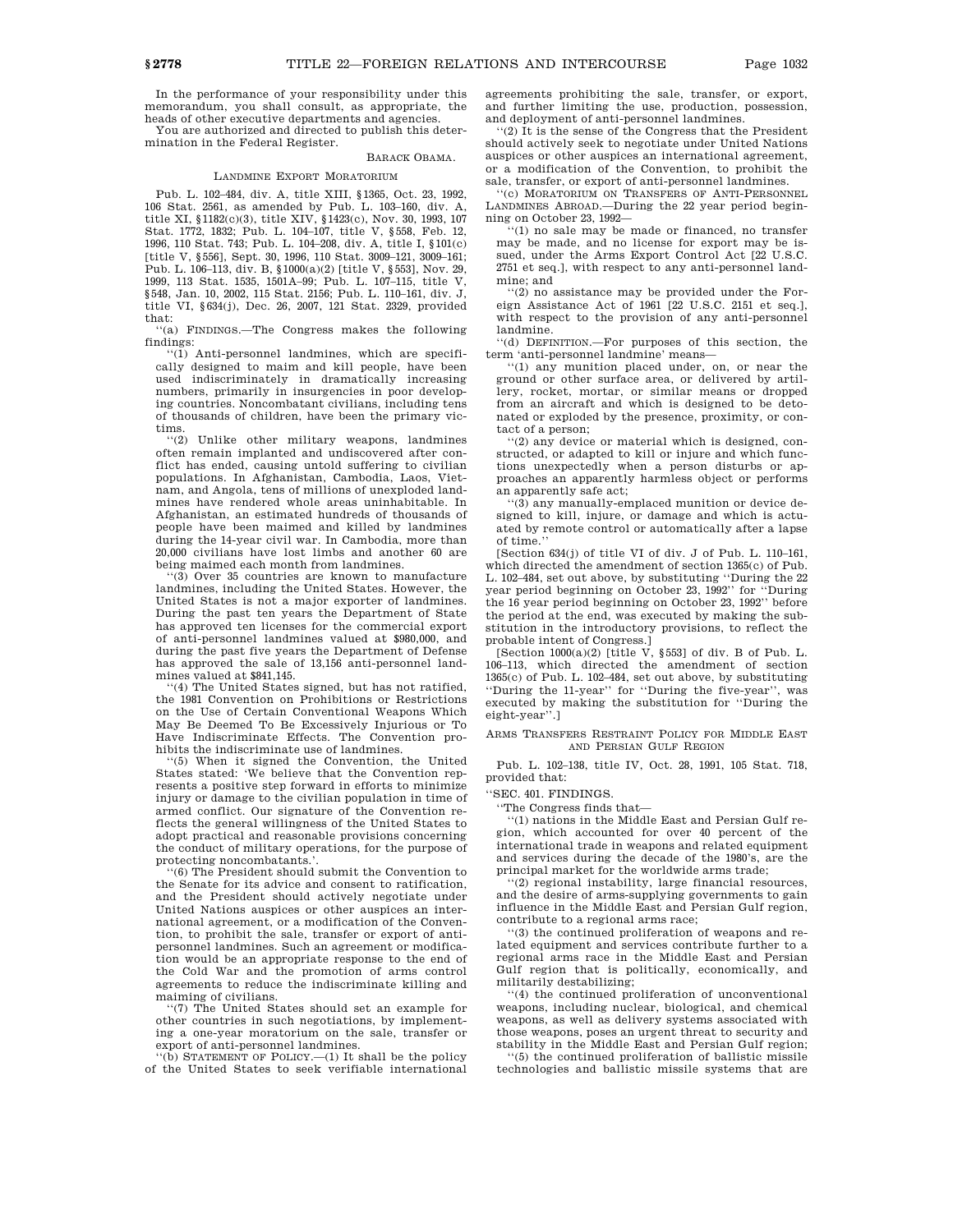In the performance of your responsibility under this memorandum, you shall consult, as appropriate, the heads of other executive departments and agencies. You are authorized and directed to publish this deter-

mination in the Federal Register.

# BARACK OBAMA.

## LANDMINE EXPORT MORATORIUM

Pub. L. 102–484, div. A, title XIII, §1365, Oct. 23, 1992, 106 Stat. 2561, as amended by Pub. L. 103–160, div. A, title XI, §1182(c)(3), title XIV, §1423(c), Nov. 30, 1993, 107 Stat. 1772, 1832; Pub. L. 104–107, title V, §558, Feb. 12, 1996, 110 Stat. 743; Pub. L. 104–208, div. A, title I, §101(c) [title V, §556], Sept. 30, 1996, 110 Stat. 3009–121, 3009–161; Pub. L. 106–113, div. B, §1000(a)(2) [title V, §553], Nov. 29, 1999, 113 Stat. 1535, 1501A–99; Pub. L. 107–115, title V, §548, Jan. 10, 2002, 115 Stat. 2156; Pub. L. 110–161, div. J, title VI, §634(j), Dec. 26, 2007, 121 Stat. 2329, provided that:

''(a) FINDINGS.—The Congress makes the following findings:

''(1) Anti-personnel landmines, which are specifically designed to maim and kill people, have been used indiscriminately in dramatically increasing numbers, primarily in insurgencies in poor developing countries. Noncombatant civilians, including tens of thousands of children, have been the primary victims.

''(2) Unlike other military weapons, landmines often remain implanted and undiscovered after conflict has ended, causing untold suffering to civilian populations. In Afghanistan, Cambodia, Laos, Vietnam, and Angola, tens of millions of unexploded landmines have rendered whole areas uninhabitable. In Afghanistan, an estimated hundreds of thousands of people have been maimed and killed by landmines during the 14-year civil war. In Cambodia, more than 20,000 civilians have lost limbs and another 60 are being maimed each month from landmines.

''(3) Over 35 countries are known to manufacture landmines, including the United States. However, the United States is not a major exporter of landmines. During the past ten years the Department of State has approved ten licenses for the commercial export of anti-personnel landmines valued at \$980,000, and during the past five years the Department of Defense has approved the sale of 13,156 anti-personnel landmines valued at \$841,145.

''(4) The United States signed, but has not ratified, the 1981 Convention on Prohibitions or Restrictions on the Use of Certain Conventional Weapons Which May Be Deemed To Be Excessively Injurious or To Have Indiscriminate Effects. The Convention prohibits the indiscriminate use of landmines.

''(5) When it signed the Convention, the United States stated: 'We believe that the Convention represents a positive step forward in efforts to minimize injury or damage to the civilian population in time of armed conflict. Our signature of the Convention reflects the general willingness of the United States to adopt practical and reasonable provisions concerning the conduct of military operations, for the purpose of protecting noncombatants.

'(6) The President should submit the Convention to the Senate for its advice and consent to ratification, and the President should actively negotiate under United Nations auspices or other auspices an international agreement, or a modification of the Convention, to prohibit the sale, transfer or export of antipersonnel landmines. Such an agreement or modification would be an appropriate response to the end of the Cold War and the promotion of arms control agreements to reduce the indiscriminate killing and maiming of civilians.

''(7) The United States should set an example for other countries in such negotiations, by implementing a one-year moratorium on the sale, transfer or

export of anti-personnel landmines. ''(b) STATEMENT OF POLICY.—(1) It shall be the policy of the United States to seek verifiable international agreements prohibiting the sale, transfer, or export, and further limiting the use, production, possession, and deployment of anti-personnel landmines.

''(2) It is the sense of the Congress that the President should actively seek to negotiate under United Nations auspices or other auspices an international agreement, or a modification of the Convention, to prohibit the sale, transfer, or export of anti-personnel landmines.

''(c) MORATORIUM ON TRANSFERS OF ANTI-PERSONNEL LANDMINES ABROAD.—During the 22 year period beginning on October 23, 1992—

'(1) no sale may be made or financed, no transfer may be made, and no license for export may be issued, under the Arms Export Control Act [22 U.S.C.] 2751 et seq.], with respect to any anti-personnel landmine; and

''(2) no assistance may be provided under the Foreign Assistance Act of 1961 [22 U.S.C. 2151 et seq.], with respect to the provision of any anti-personnel landmine.

''(d) DEFINITION.—For purposes of this section, the term 'anti-personnel landmine' means—

''(1) any munition placed under, on, or near the ground or other surface area, or delivered by artillery, rocket, mortar, or similar means or dropped from an aircraft and which is designed to be detonated or exploded by the presence, proximity, or contact of a person;

''(2) any device or material which is designed, constructed, or adapted to kill or injure and which functions unexpectedly when a person disturbs or approaches an apparently harmless object or performs an apparently safe act;

''(3) any manually-emplaced munition or device designed to kill, injure, or damage and which is actuated by remote control or automatically after a lapse of time.''

[Section 634(j) of title VI of div. J of Pub. L. 110–161, which directed the amendment of section 1365(c) of Pub. L. 102–484, set out above, by substituting ''During the 22 year period beginning on October 23, 1992'' for ''During the 16 year period beginning on October 23, 1992'' before the period at the end, was executed by making the substitution in the introductory provisions, to reflect the probable intent of Congress.]

[Section  $1000(a)(2)$  [title V, §553] of div. B of Pub. L. 106–113, which directed the amendment of section 1365(c) of Pub. L. 102–484, set out above, by substituting ''During the 11-year'' for ''During the five-year'', was executed by making the substitution for ''During the eight-year''.]

ARMS TRANSFERS RESTRAINT POLICY FOR MIDDLE EAST AND PERSIAN GULF REGION

Pub. L. 102–138, title IV, Oct. 28, 1991, 105 Stat. 718, provided that:

''SEC. 401. FINDINGS.

''The Congress finds that—

''(1) nations in the Middle East and Persian Gulf region, which accounted for over 40 percent of the international trade in weapons and related equipment and services during the decade of the 1980's, are the principal market for the worldwide arms trade;

''(2) regional instability, large financial resources, and the desire of arms-supplying governments to gain influence in the Middle East and Persian Gulf region, contribute to a regional arms race;

'(3) the continued proliferation of weapons and related equipment and services contribute further to a regional arms race in the Middle East and Persian Gulf region that is politically, economically, and militarily destabilizing;

''(4) the continued proliferation of unconventional weapons, including nuclear, biological, and chemical weapons, as well as delivery systems associated with those weapons, poses an urgent threat to security and stability in the Middle East and Persian Gulf region;

''(5) the continued proliferation of ballistic missile technologies and ballistic missile systems that are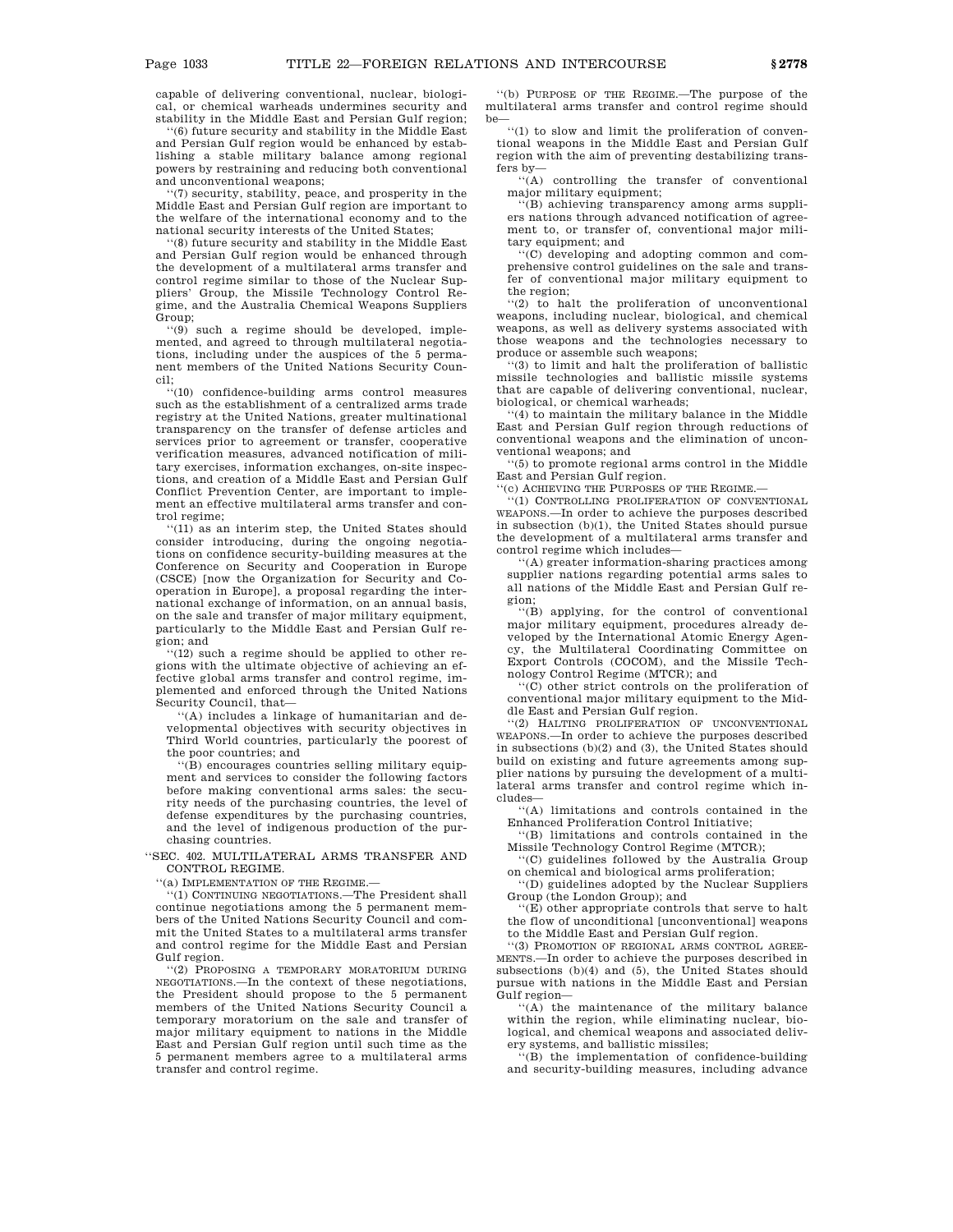capable of delivering conventional, nuclear, biological, or chemical warheads undermines security and stability in the Middle East and Persian Gulf region;

''(6) future security and stability in the Middle East and Persian Gulf region would be enhanced by establishing a stable military balance among regional powers by restraining and reducing both conventional and unconventional weapons;

''(7) security, stability, peace, and prosperity in the Middle East and Persian Gulf region are important to the welfare of the international economy and to the national security interests of the United States;

''(8) future security and stability in the Middle East and Persian Gulf region would be enhanced through the development of a multilateral arms transfer and control regime similar to those of the Nuclear Suppliers' Group, the Missile Technology Control Regime, and the Australia Chemical Weapons Suppliers Group;

''(9) such a regime should be developed, implemented, and agreed to through multilateral negotiations, including under the auspices of the 5 permanent members of the United Nations Security Council;

''(10) confidence-building arms control measures such as the establishment of a centralized arms trade registry at the United Nations, greater multinational transparency on the transfer of defense articles and services prior to agreement or transfer, cooperative verification measures, advanced notification of military exercises, information exchanges, on-site inspections, and creation of a Middle East and Persian Gulf Conflict Prevention Center, are important to implement an effective multilateral arms transfer and control regime;

''(11) as an interim step, the United States should consider introducing, during the ongoing negotiations on confidence security-building measures at the Conference on Security and Cooperation in Europe (CSCE) [now the Organization for Security and Cooperation in Europe], a proposal regarding the international exchange of information, on an annual basis, on the sale and transfer of major military equipment, particularly to the Middle East and Persian Gulf region; and

''(12) such a regime should be applied to other regions with the ultimate objective of achieving an effective global arms transfer and control regime, implemented and enforced through the United Nations Security Council, that—

''(A) includes a linkage of humanitarian and developmental objectives with security objectives in Third World countries, particularly the poorest of the poor countries; and

 $(6)$  encourages countries selling military equipment and services to consider the following factors before making conventional arms sales: the security needs of the purchasing countries, the level of defense expenditures by the purchasing countries, and the level of indigenous production of the purchasing countries.

''SEC. 402. MULTILATERAL ARMS TRANSFER AND CONTROL REGIME.

''(a) IMPLEMENTATION OF THE REGIME.—

 $(1)$  CONTINUING NEGOTIATIONS.—The President shall continue negotiations among the 5 permanent members of the United Nations Security Council and commit the United States to a multilateral arms transfer and control regime for the Middle East and Persian Gulf region.

''(2) PROPOSING A TEMPORARY MORATORIUM DURING NEGOTIATIONS.—In the context of these negotiations, the President should propose to the 5 permanent members of the United Nations Security Council a temporary moratorium on the sale and transfer of major military equipment to nations in the Middle East and Persian Gulf region until such time as the 5 permanent members agree to a multilateral arms transfer and control regime.

''(b) PURPOSE OF THE REGIME.—The purpose of the multilateral arms transfer and control regime should be—

''(1) to slow and limit the proliferation of conventional weapons in the Middle East and Persian Gulf region with the aim of preventing destabilizing transfers by—

''(A) controlling the transfer of conventional major military equipment;

''(B) achieving transparency among arms suppliers nations through advanced notification of agreement to, or transfer of, conventional major military equipment; and

''(C) developing and adopting common and comprehensive control guidelines on the sale and transfer of conventional major military equipment to the region;

''(2) to halt the proliferation of unconventional weapons, including nuclear, biological, and chemical weapons, as well as delivery systems associated with those weapons and the technologies necessary to produce or assemble such weapons;

''(3) to limit and halt the proliferation of ballistic missile technologies and ballistic missile systems that are capable of delivering conventional, nuclear, biological, or chemical warheads;

''(4) to maintain the military balance in the Middle East and Persian Gulf region through reductions of conventional weapons and the elimination of unconventional weapons; and

''(5) to promote regional arms control in the Middle East and Persian Gulf region.

'(c) ACHIEVING THE PURPOSES OF THE REGIME.

''(1) CONTROLLING PROLIFERATION OF CONVENTIONAL WEAPONS.—In order to achieve the purposes described in subsection (b)(1), the United States should pursue the development of a multilateral arms transfer and control regime which includes—

''(A) greater information-sharing practices among supplier nations regarding potential arms sales to all nations of the Middle East and Persian Gulf region;

''(B) applying, for the control of conventional major military equipment, procedures already developed by the International Atomic Energy Agency, the Multilateral Coordinating Committee on Export Controls (COCOM), and the Missile Technology Control Regime (MTCR); and

''(C) other strict controls on the proliferation of conventional major military equipment to the Middle East and Persian Gulf region.

'(2) HALTING PROLIFERATION OF UNCONVENTIONAL WEAPONS.—In order to achieve the purposes described in subsections (b)(2) and (3), the United States should build on existing and future agreements among supplier nations by pursuing the development of a multilateral arms transfer and control regime which includes—

''(A) limitations and controls contained in the Enhanced Proliferation Control Initiative;

''(B) limitations and controls contained in the Missile Technology Control Regime (MTCR);

''(C) guidelines followed by the Australia Group on chemical and biological arms proliferation;

''(D) guidelines adopted by the Nuclear Suppliers Group (the London Group); and

'(E) other appropriate controls that serve to halt the flow of unconditional [unconventional] weapons to the Middle East and Persian Gulf region.

''(3) PROMOTION OF REGIONAL ARMS CONTROL AGREE-MENTS.—In order to achieve the purposes described in subsections (b)(4) and (5), the United States should pursue with nations in the Middle East and Persian Gulf region—

''(A) the maintenance of the military balance within the region, while eliminating nuclear, biological, and chemical weapons and associated deliv-

ery systems, and ballistic missiles; ''(B) the implementation of confidence-building and security-building measures, including advance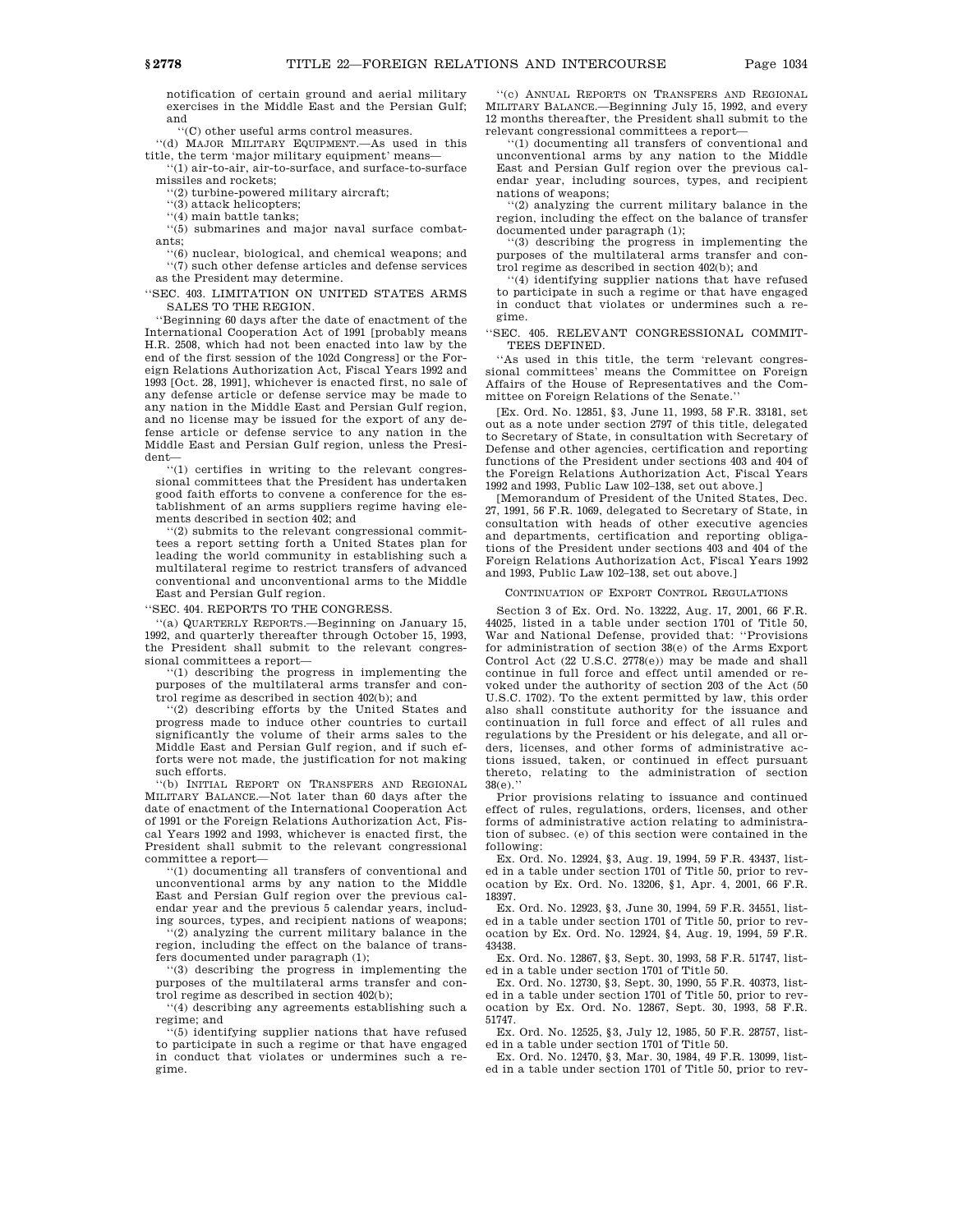notification of certain ground and aerial military exercises in the Middle East and the Persian Gulf; and

''(C) other useful arms control measures.

''(d) MAJOR MILITARY EQUIPMENT.—As used in this title, the term 'major military equipment' means—

''(1) air-to-air, air-to-surface, and surface-to-surface missiles and rockets;

''(2) turbine-powered military aircraft;

''(3) attack helicopters;

''(4) main battle tanks;

''(5) submarines and major naval surface combatants;

''(6) nuclear, biological, and chemical weapons; and ''(7) such other defense articles and defense services as the President may determine.

''SEC. 403. LIMITATION ON UNITED STATES ARMS SALES TO THE REGION.

''Beginning 60 days after the date of enactment of the International Cooperation Act of 1991 [probably means H.R. 2508, which had not been enacted into law by the end of the first session of the 102d Congress] or the Foreign Relations Authorization Act, Fiscal Years 1992 and 1993 [Oct. 28, 1991], whichever is enacted first, no sale of any defense article or defense service may be made to any nation in the Middle East and Persian Gulf region, and no license may be issued for the export of any defense article or defense service to any nation in the Middle East and Persian Gulf region, unless the President—

''(1) certifies in writing to the relevant congressional committees that the President has undertaken good faith efforts to convene a conference for the establishment of an arms suppliers regime having elements described in section 402; and

''(2) submits to the relevant congressional committees a report setting forth a United States plan for leading the world community in establishing such a multilateral regime to restrict transfers of advanced conventional and unconventional arms to the Middle East and Persian Gulf region.

''SEC. 404. REPORTS TO THE CONGRESS.

'(a) QUARTERLY REPORTS.—Beginning on January 15, 1992, and quarterly thereafter through October 15, 1993, the President shall submit to the relevant congressional committees a report—

''(1) describing the progress in implementing the purposes of the multilateral arms transfer and control regime as described in section 402(b); and

''(2) describing efforts by the United States and progress made to induce other countries to curtail significantly the volume of their arms sales to the Middle East and Persian Gulf region, and if such efforts were not made, the justification for not making such efforts.

''(b) INITIAL REPORT ON TRANSFERS AND REGIONAL MILITARY BALANCE.—Not later than 60 days after the date of enactment of the International Cooperation Act of 1991 or the Foreign Relations Authorization Act, Fiscal Years 1992 and 1993, whichever is enacted first, the President shall submit to the relevant congressional committee a report—

''(1) documenting all transfers of conventional and unconventional arms by any nation to the Middle East and Persian Gulf region over the previous calendar year and the previous 5 calendar years, including sources, types, and recipient nations of weapons;

''(2) analyzing the current military balance in the region, including the effect on the balance of transfers documented under paragraph (1);

''(3) describing the progress in implementing the purposes of the multilateral arms transfer and control regime as described in section 402(b);

''(4) describing any agreements establishing such a regime; and

''(5) identifying supplier nations that have refused to participate in such a regime or that have engaged in conduct that violates or undermines such a regime.

''(c) ANNUAL REPORTS ON TRANSFERS AND REGIONAL MILITARY BALANCE.—Beginning July 15, 1992, and every 12 months thereafter, the President shall submit to the relevant congressional committees a report—

''(1) documenting all transfers of conventional and unconventional arms by any nation to the Middle East and Persian Gulf region over the previous calendar year, including sources, types, and recipient nations of weapons;

 $(2)$  analyzing the current military balance in the region, including the effect on the balance of transfer documented under paragraph (1);

''(3) describing the progress in implementing the purposes of the multilateral arms transfer and control regime as described in section 402(b); and

'(4) identifying supplier nations that have refused to participate in such a regime or that have engaged in conduct that violates or undermines such a regime.

''SEC. 405. RELEVANT CONGRESSIONAL COMMIT-TEES DEFINED.

''As used in this title, the term 'relevant congressional committees' means the Committee on Foreign Affairs of the House of Representatives and the Committee on Foreign Relations of the Senate.''

[Ex. Ord. No. 12851, §3, June 11, 1993, 58 F.R. 33181, set out as a note under section 2797 of this title, delegated to Secretary of State, in consultation with Secretary of Defense and other agencies, certification and reporting functions of the President under sections 403 and 404 of the Foreign Relations Authorization Act, Fiscal Years 1992 and 1993, Public Law 102–138, set out above.]

[Memorandum of President of the United States, Dec. 27, 1991, 56 F.R. 1069, delegated to Secretary of State, in consultation with heads of other executive agencies and departments, certification and reporting obligations of the President under sections 403 and 404 of the Foreign Relations Authorization Act, Fiscal Years 1992 and 1993, Public Law 102–138, set out above.]

## CONTINUATION OF EXPORT CONTROL REGULATIONS

Section 3 of Ex. Ord. No. 13222, Aug. 17, 2001, 66 F.R. 44025, listed in a table under section 1701 of Title 50, War and National Defense, provided that: ''Provisions for administration of section 38(e) of the Arms Export Control Act (22 U.S.C. 2778(e)) may be made and shall continue in full force and effect until amended or revoked under the authority of section 203 of the Act (50 U.S.C. 1702). To the extent permitted by law, this order also shall constitute authority for the issuance and continuation in full force and effect of all rules and regulations by the President or his delegate, and all orders, licenses, and other forms of administrative actions issued, taken, or continued in effect pursuant thereto, relating to the administration of section  $38(e)$ .'

Prior provisions relating to issuance and continued effect of rules, regulations, orders, licenses, and other forms of administrative action relating to administration of subsec. (e) of this section were contained in the following:

Ex. Ord. No. 12924, §3, Aug. 19, 1994, 59 F.R. 43437, listed in a table under section 1701 of Title 50, prior to revocation by Ex. Ord. No. 13206, §1, Apr. 4, 2001, 66 F.R. 18397.

Ex. Ord. No. 12923, §3, June 30, 1994, 59 F.R. 34551, listed in a table under section 1701 of Title 50, prior to revocation by Ex. Ord. No. 12924, §4, Aug. 19, 1994, 59 F.R. 43438.

Ex. Ord. No. 12867, §3, Sept. 30, 1993, 58 F.R. 51747, listed in a table under section 1701 of Title 50.

Ex. Ord. No. 12730, §3, Sept. 30, 1990, 55 F.R. 40373, listed in a table under section 1701 of Title 50, prior to revocation by Ex. Ord. No. 12867, Sept. 30, 1993, 58 F.R. 51747.

Ex. Ord. No. 12525, §3, July 12, 1985, 50 F.R. 28757, listed in a table under section 1701 of Title 50.

Ex. Ord. No. 12470, §3, Mar. 30, 1984, 49 F.R. 13099, listed in a table under section 1701 of Title 50, prior to rev-